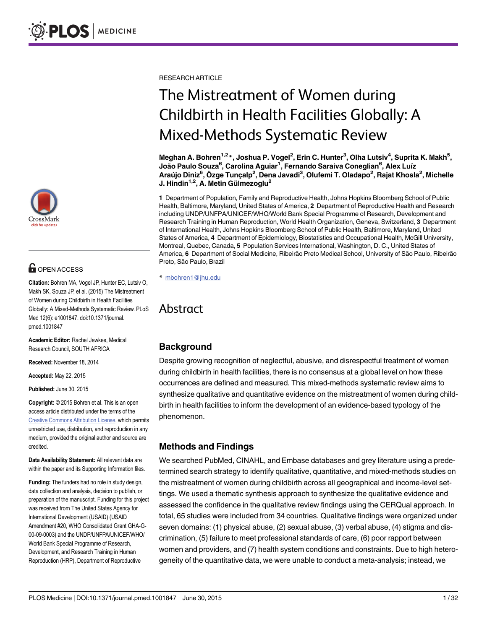

# **G** OPEN ACCESS

Citation: Bohren MA, Vogel JP, Hunter EC, Lutsiv O, Makh SK, Souza JP, et al. (2015) The Mistreatment of Women during Childbirth in Health Facilities Globally: A Mixed-Methods Systematic Review. PLoS Med 12(6): e1001847. doi:10.1371/journal. pmed.1001847

Academic Editor: Rachel Jewkes, Medical Research Council, SOUTH AFRICA

Received: November 18, 2014

Accepted: May 22, 2015

Published: June 30, 2015

Copyright: © 2015 Bohren et al. This is an open access article distributed under the terms of the [Creative Commons Attribution License,](http://creativecommons.org/licenses/by/4.0/) which permits unrestricted use, distribution, and reproduction in any medium, provided the original author and source are credited.

Data Availability Statement: All relevant data are within the paper and its Supporting Information files.

Funding: The funders had no role in study design, data collection and analysis, decision to publish, or preparation of the manuscript. Funding for this project was received from The United States Agency for International Development (USAID) (USAID Amendment #20, WHO Consolidated Grant GHA-G-00-09-0003) and the UNDP/UNFPA/UNICEF/WHO/ World Bank Special Programme of Research, Development, and Research Training in Human Reproduction (HRP), Department of Reproductive

RESEARCH ARTICLE

# The Mistreatment of Women during Childbirth in Health Facilities Globally: A Mixed-Methods Systematic Review

Meghan A. Bohren<sup>1,2</sup>\*, Joshua P. Vogel<sup>2</sup>, Erin C. Hunter<sup>3</sup>, Olha Lutsiv<sup>4</sup>, Suprita K. Makh<sup>5</sup>, João Paulo Souza<sup>6</sup>, Carolina Aguiar<sup>1</sup>, Fernando Saraiva Coneglian<sup>6</sup>, Alex Luíz Araújo Diniz<sup>6</sup>, Özge Tunçalp<sup>2</sup>, Dena Javadi<sup>3</sup>, Olufemi T. Oladapo<sup>2</sup>, Rajat Khosla<sup>2</sup>, Michelle J. Hindin<sup>1,2</sup>, A. Metin Gülmezoglu<sup>2</sup>

1 Department of Population, Family and Reproductive Health, Johns Hopkins Bloomberg School of Public Health, Baltimore, Maryland, United States of America, 2 Department of Reproductive Health and Research including UNDP/UNFPA/UNICEF/WHO/World Bank Special Programme of Research, Development and Research Training in Human Reproduction, World Health Organization, Geneva, Switzerland, 3 Department of International Health, Johns Hopkins Bloomberg School of Public Health, Baltimore, Maryland, United States of America, 4 Department of Epidemiology, Biostatistics and Occupational Health, McGill University, Montreal, Quebec, Canada, 5 Population Services International, Washington, D. C., United States of America, 6 Department of Social Medicine, Ribeirão Preto Medical School, University of São Paulo, Ribeirão Preto, São Paulo, Brazil

\* mbohren1@jhu.edu

# Abstract

# Background

Despite growing recognition of neglectful, abusive, and disrespectful treatment of women during childbirth in health facilities, there is no consensus at a global level on how these occurrences are defined and measured. This mixed-methods systematic review aims to synthesize qualitative and quantitative evidence on the mistreatment of women during childbirth in health facilities to inform the development of an evidence-based typology of the phenomenon.

# Methods and Findings

We searched PubMed, CINAHL, and Embase databases and grey literature using a predetermined search strategy to identify qualitative, quantitative, and mixed-methods studies on the mistreatment of women during childbirth across all geographical and income-level settings. We used a thematic synthesis approach to synthesize the qualitative evidence and assessed the confidence in the qualitative review findings using the CERQual approach. In total, 65 studies were included from 34 countries. Qualitative findings were organized under seven domains: (1) physical abuse, (2) sexual abuse, (3) verbal abuse, (4) stigma and discrimination, (5) failure to meet professional standards of care, (6) poor rapport between women and providers, and (7) health system conditions and constraints. Due to high heterogeneity of the quantitative data, we were unable to conduct a meta-analysis; instead, we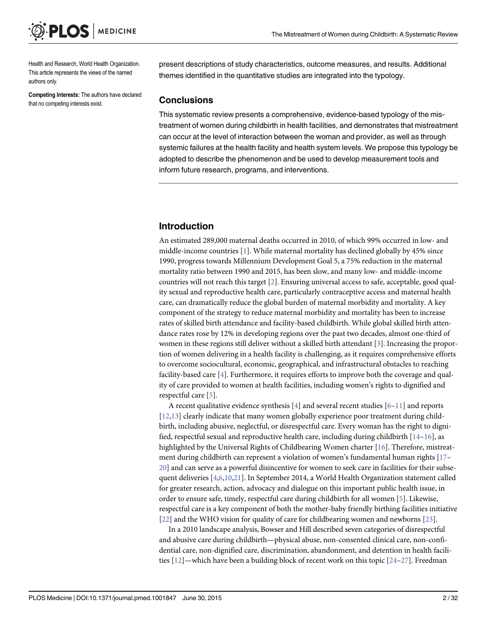<span id="page-1-0"></span>Health and Research, World Health Organization. This article represents the views of the named authors only.

Competing Interests: The authors have declared that no competing interests exist.

present descriptions of study characteristics, outcome measures, and results. Additional themes identified in the quantitative studies are integrated into the typology.

### **Conclusions**

This systematic review presents a comprehensive, evidence-based typology of the mistreatment of women during childbirth in health facilities, and demonstrates that mistreatment can occur at the level of interaction between the woman and provider, as well as through systemic failures at the health facility and health system levels. We propose this typology be adopted to describe the phenomenon and be used to develop measurement tools and inform future research, programs, and interventions.

# Introduction

An estimated 289,000 maternal deaths occurred in 2010, of which 99% occurred in low- and middle-income countries [[1](#page-24-0)]. While maternal mortality has declined globally by 45% since 1990, progress towards Millennium Development Goal 5, a 75% reduction in the maternal mortality ratio between 1990 and 2015, has been slow, and many low- and middle-income countries will not reach this target  $[2]$  $[2]$ . Ensuring universal access to safe, acceptable, good quality sexual and reproductive health care, particularly contraceptive access and maternal health care, can dramatically reduce the global burden of maternal morbidity and mortality. A key component of the strategy to reduce maternal morbidity and mortality has been to increase rates of skilled birth attendance and facility-based childbirth. While global skilled birth attendance rates rose by 12% in developing regions over the past two decades, almost one-third of women in these regions still deliver without a skilled birth attendant [[3\]](#page-24-0). Increasing the proportion of women delivering in a health facility is challenging, as it requires comprehensive efforts to overcome sociocultural, economic, geographical, and infrastructural obstacles to reaching facility-based care  $[4]$  $[4]$ . Furthermore, it requires efforts to improve both the coverage and quality of care provided to women at health facilities, including women's rights to dignified and respectful care [[5\]](#page-24-0).

A recent qualitative evidence synthesis  $[4]$  and several recent studies  $[6-11]$  $[6-11]$  $[6-11]$  and reports [\[12,13\]](#page-24-0) clearly indicate that many women globally experience poor treatment during childbirth, including abusive, neglectful, or disrespectful care. Every woman has the right to dignified, respectful sexual and reproductive health care, including during childbirth  $[14-16]$  $[14-16]$  $[14-16]$  $[14-16]$ , as highlighted by the Universal Rights of Childbearing Women charter [[16\]](#page-24-0). Therefore, mistreatment during childbirth can represent a violation of women's fundamental human rights [[17](#page-24-0)– [20\]](#page-24-0) and can serve as a powerful disincentive for women to seek care in facilities for their subsequent deliveries [\[4,6,10,21](#page-24-0)]. In September 2014, a World Health Organization statement called for greater research, action, advocacy and dialogue on this important public health issue, in order to ensure safe, timely, respectful care during childbirth for all women  $[5]$  $[5]$ . Likewise, respectful care is a key component of both the mother-baby friendly birthing facilities initiative [\[22](#page-25-0)] and the WHO vision for quality of care for childbearing women and newborns [[23\]](#page-25-0).

In a 2010 landscape analysis, Bowser and Hill described seven categories of disrespectful and abusive care during childbirth—physical abuse, non-consented clinical care, non-confidential care, non-dignified care, discrimination, abandonment, and detention in health facilities [\[12\]](#page-24-0)—which have been a building block of recent work on this topic [[24](#page-25-0)–[27\]](#page-25-0). Freedman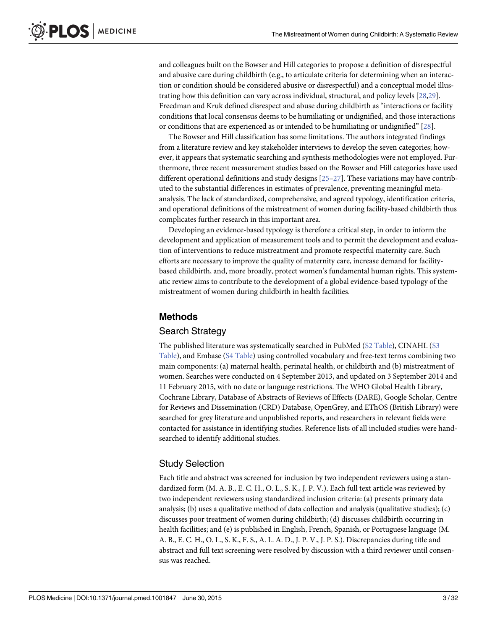<span id="page-2-0"></span>and colleagues built on the Bowser and Hill categories to propose a definition of disrespectful and abusive care during childbirth (e.g., to articulate criteria for determining when an interaction or condition should be considered abusive or disrespectful) and a conceptual model illustrating how this definition can vary across individual, structural, and policy levels [[28](#page-25-0),[29](#page-25-0)]. Freedman and Kruk defined disrespect and abuse during childbirth as "interactions or facility conditions that local consensus deems to be humiliating or undignified, and those interactions or conditions that are experienced as or intended to be humiliating or undignified" [[28](#page-25-0)].

The Bowser and Hill classification has some limitations. The authors integrated findings from a literature review and key stakeholder interviews to develop the seven categories; however, it appears that systematic searching and synthesis methodologies were not employed. Furthermore, three recent measurement studies based on the Bowser and Hill categories have used different operational definitions and study designs  $[25-27]$  $[25-27]$  $[25-27]$  $[25-27]$ . These variations may have contributed to the substantial differences in estimates of prevalence, preventing meaningful metaanalysis. The lack of standardized, comprehensive, and agreed typology, identification criteria, and operational definitions of the mistreatment of women during facility-based childbirth thus complicates further research in this important area.

Developing an evidence-based typology is therefore a critical step, in order to inform the development and application of measurement tools and to permit the development and evaluation of interventions to reduce mistreatment and promote respectful maternity care. Such efforts are necessary to improve the quality of maternity care, increase demand for facilitybased childbirth, and, more broadly, protect women's fundamental human rights. This systematic review aims to contribute to the development of a global evidence-based typology of the mistreatment of women during childbirth in health facilities.

# Methods

### Search Strategy

The published literature was systematically searched in PubMed ([S2 Table\)](#page-23-0), CINAHL [\(S3](#page-23-0) [Table](#page-23-0)), and Embase ([S4 Table\)](#page-23-0) using controlled vocabulary and free-text terms combining two main components: (a) maternal health, perinatal health, or childbirth and (b) mistreatment of women. Searches were conducted on 4 September 2013, and updated on 3 September 2014 and 11 February 2015, with no date or language restrictions. The WHO Global Health Library, Cochrane Library, Database of Abstracts of Reviews of Effects (DARE), Google Scholar, Centre for Reviews and Dissemination (CRD) Database, OpenGrey, and EThOS (British Library) were searched for grey literature and unpublished reports, and researchers in relevant fields were contacted for assistance in identifying studies. Reference lists of all included studies were handsearched to identify additional studies.

# Study Selection

Each title and abstract was screened for inclusion by two independent reviewers using a standardized form (M. A. B., E. C. H., O. L., S. K., J. P. V.). Each full text article was reviewed by two independent reviewers using standardized inclusion criteria: (a) presents primary data analysis; (b) uses a qualitative method of data collection and analysis (qualitative studies); (c) discusses poor treatment of women during childbirth; (d) discusses childbirth occurring in health facilities; and (e) is published in English, French, Spanish, or Portuguese language (M. A. B., E. C. H., O. L., S. K., F. S., A. L. A. D., J. P. V., J. P. S.). Discrepancies during title and abstract and full text screening were resolved by discussion with a third reviewer until consensus was reached.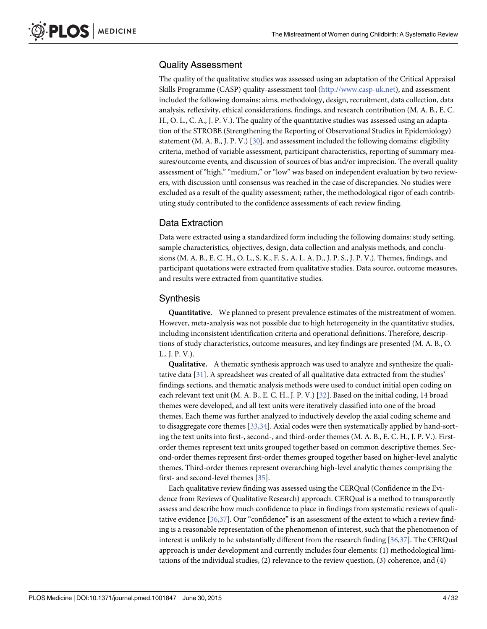# <span id="page-3-0"></span>Quality Assessment

The quality of the qualitative studies was assessed using an adaptation of the Critical Appraisal Skills Programme (CASP) quality-assessment tool (<http://www.casp-uk.net>), and assessment included the following domains: aims, methodology, design, recruitment, data collection, data analysis, reflexivity, ethical considerations, findings, and research contribution (M. A. B., E. C. H., O. L., C. A., J. P. V.). The quality of the quantitative studies was assessed using an adaptation of the STROBE (Strengthening the Reporting of Observational Studies in Epidemiology) statement (M. A. B., J. P. V.) [ $30$ ], and assessment included the following domains: eligibility criteria, method of variable assessment, participant characteristics, reporting of summary measures/outcome events, and discussion of sources of bias and/or imprecision. The overall quality assessment of "high," "medium," or "low" was based on independent evaluation by two reviewers, with discussion until consensus was reached in the case of discrepancies. No studies were excluded as a result of the quality assessment; rather, the methodological rigor of each contributing study contributed to the confidence assessments of each review finding.

# Data Extraction

Data were extracted using a standardized form including the following domains: study setting, sample characteristics, objectives, design, data collection and analysis methods, and conclusions (M. A. B., E. C. H., O. L., S. K., F. S., A. L. A. D., J. P. S., J. P. V.). Themes, findings, and participant quotations were extracted from qualitative studies. Data source, outcome measures, and results were extracted from quantitative studies.

# Synthesis

Quantitative. We planned to present prevalence estimates of the mistreatment of women. However, meta-analysis was not possible due to high heterogeneity in the quantitative studies, including inconsistent identification criteria and operational definitions. Therefore, descriptions of study characteristics, outcome measures, and key findings are presented (M. A. B., O. L., J. P. V.).

Qualitative. A thematic synthesis approach was used to analyze and synthesize the qualitative data  $[31]$  $[31]$  $[31]$ . A spreadsheet was created of all qualitative data extracted from the studies' findings sections, and thematic analysis methods were used to conduct initial open coding on each relevant text unit (M. A. B., E. C. H., J. P. V.) [\[32\]](#page-25-0). Based on the initial coding, 14 broad themes were developed, and all text units were iteratively classified into one of the broad themes. Each theme was further analyzed to inductively develop the axial coding scheme and to disaggregate core themes [[33,34](#page-25-0)]. Axial codes were then systematically applied by hand-sorting the text units into first-, second-, and third-order themes (M. A. B., E. C. H., J. P. V.). Firstorder themes represent text units grouped together based on common descriptive themes. Second-order themes represent first-order themes grouped together based on higher-level analytic themes. Third-order themes represent overarching high-level analytic themes comprising the first- and second-level themes [\[35\]](#page-25-0).

Each qualitative review finding was assessed using the CERQual (Confidence in the Evidence from Reviews of Qualitative Research) approach. CERQual is a method to transparently assess and describe how much confidence to place in findings from systematic reviews of qualitative evidence [\[36,37\]](#page-25-0). Our "confidence" is an assessment of the extent to which a review finding is a reasonable representation of the phenomenon of interest, such that the phenomenon of interest is unlikely to be substantially different from the research finding [[36](#page-25-0),[37](#page-25-0)]. The CERQual approach is under development and currently includes four elements: (1) methodological limitations of the individual studies, (2) relevance to the review question, (3) coherence, and (4)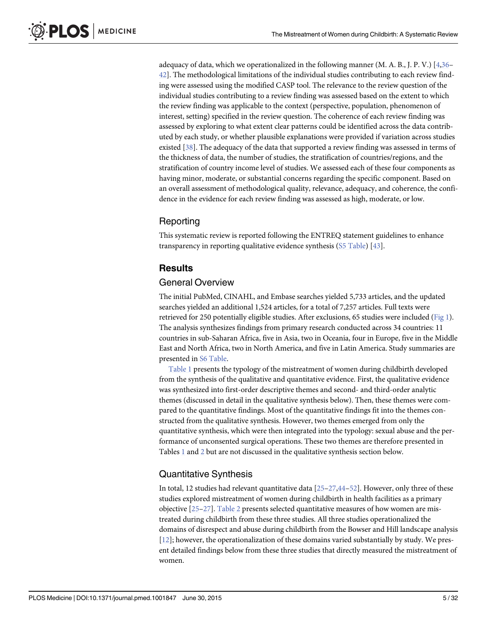<span id="page-4-0"></span>adequacy of data, which we operationalized in the following manner (M. A. B., J. P. V.)  $[4,36 [4,36 [4,36-$ [42\]](#page-25-0). The methodological limitations of the individual studies contributing to each review finding were assessed using the modified CASP tool. The relevance to the review question of the individual studies contributing to a review finding was assessed based on the extent to which the review finding was applicable to the context (perspective, population, phenomenon of interest, setting) specified in the review question. The coherence of each review finding was assessed by exploring to what extent clear patterns could be identified across the data contributed by each study, or whether plausible explanations were provided if variation across studies existed  $[38]$ . The adequacy of the data that supported a review finding was assessed in terms of the thickness of data, the number of studies, the stratification of countries/regions, and the stratification of country income level of studies. We assessed each of these four components as having minor, moderate, or substantial concerns regarding the specific component. Based on an overall assessment of methodological quality, relevance, adequacy, and coherence, the confidence in the evidence for each review finding was assessed as high, moderate, or low.

# Reporting

This systematic review is reported following the ENTREQ statement guidelines to enhance transparency in reporting qualitative evidence synthesis ([S5 Table\)](#page-23-0) [[43](#page-25-0)].

# **Results**

### General Overview

The initial PubMed, CINAHL, and Embase searches yielded 5,733 articles, and the updated searches yielded an additional 1,524 articles, for a total of 7,257 articles. Full texts were retrieved for 250 potentially eligible studies. After exclusions, 65 studies were included ([Fig 1](#page-5-0)). The analysis synthesizes findings from primary research conducted across 34 countries: 11 countries in sub-Saharan Africa, five in Asia, two in Oceania, four in Europe, five in the Middle East and North Africa, two in North America, and five in Latin America. Study summaries are presented in [S6 Table.](#page-23-0)

[Table 1](#page-6-0) presents the typology of the mistreatment of women during childbirth developed from the synthesis of the qualitative and quantitative evidence. First, the qualitative evidence was synthesized into first-order descriptive themes and second- and third-order analytic themes (discussed in detail in the qualitative synthesis below). Then, these themes were compared to the quantitative findings. Most of the quantitative findings fit into the themes constructed from the qualitative synthesis. However, two themes emerged from only the quantitative synthesis, which were then integrated into the typology: sexual abuse and the performance of unconsented surgical operations. These two themes are therefore presented in Tables  $1$  and  $2$  but are not discussed in the qualitative synthesis section below.

# Quantitative Synthesis

In total, 12 studies had relevant quantitative data  $[25-27,44-52]$  $[25-27,44-52]$  $[25-27,44-52]$  $[25-27,44-52]$  $[25-27,44-52]$  $[25-27,44-52]$  $[25-27,44-52]$ . However, only three of these studies explored mistreatment of women during childbirth in health facilities as a primary objective [[25](#page-25-0)–[27](#page-25-0)]. [Table 2](#page-7-0) presents selected quantitative measures of how women are mistreated during childbirth from these three studies. All three studies operationalized the domains of disrespect and abuse during childbirth from the Bowser and Hill landscape analysis [\[12](#page-24-0)]; however, the operationalization of these domains varied substantially by study. We present detailed findings below from these three studies that directly measured the mistreatment of women.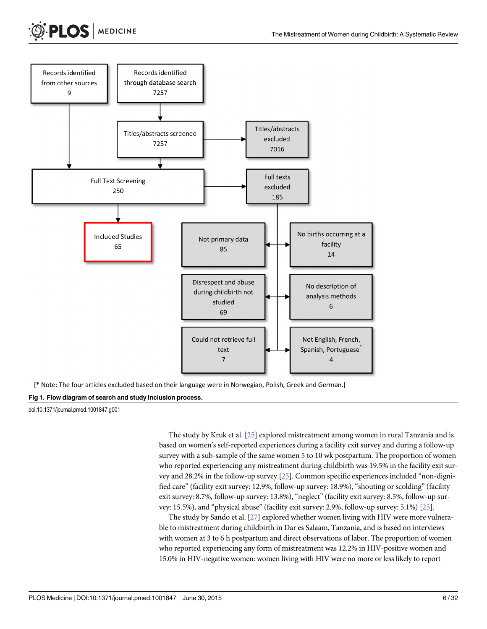<span id="page-5-0"></span>



[\* Note: The four articles excluded based on their language were in Norwegian, Polish, Greek and German.]

#### [Fig 1. F](#page-4-0)low diagram of search and study inclusion process.

doi:10.1371/journal.pmed.1001847.g001

The study by Kruk et al.  $[25]$  $[25]$  $[25]$  explored mistreatment among women in rural Tanzania and is based on women's self-reported experiences during a facility exit survey and during a follow-up survey with a sub-sample of the same women 5 to 10 wk postpartum. The proportion of women who reported experiencing any mistreatment during childbirth was 19.5% in the facility exit survey and 28.2% in the follow-up survey [\[25\]](#page-25-0). Common specific experiences included "non-dignified care" (facility exit survey: 12.9%, follow-up survey: 18.9%), "shouting or scolding" (facility exit survey: 8.7%, follow-up survey: 13.8%), "neglect" (facility exit survey: 8.5%, follow-up survey: 15.5%), and "physical abuse" (facility exit survey: 2.9%, follow-up survey: 5.1%) [\[25\]](#page-25-0).

The study by Sando et al. [[27](#page-25-0)] explored whether women living with HIV were more vulnerable to mistreatment during childbirth in Dar es Salaam, Tanzania, and is based on interviews with women at 3 to 6 h postpartum and direct observations of labor. The proportion of women who reported experiencing any form of mistreatment was 12.2% in HIV-positive women and 15.0% in HIV-negative women: women living with HIV were no more or less likely to report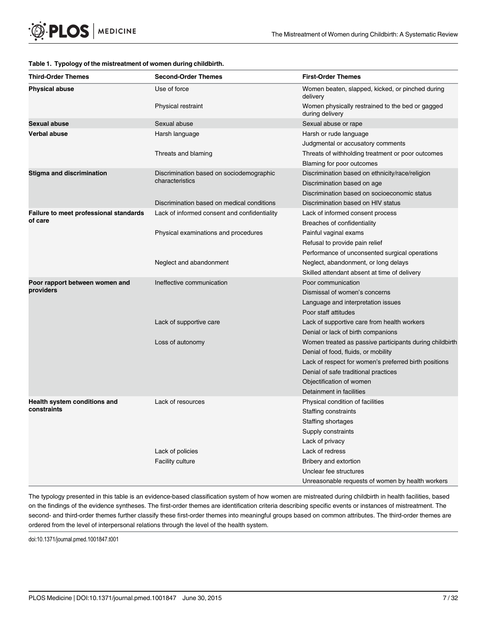#### <span id="page-6-0"></span>[Table 1.](#page-4-0) Typology of the mistreatment of women during childbirth.

| <b>Third-Order Themes</b>                   | <b>Second-Order Themes</b>                   | <b>First-Order Themes</b>                                           |  |  |  |
|---------------------------------------------|----------------------------------------------|---------------------------------------------------------------------|--|--|--|
| <b>Physical abuse</b>                       | Use of force                                 | Women beaten, slapped, kicked, or pinched during<br>delivery        |  |  |  |
|                                             | Physical restraint                           | Women physically restrained to the bed or gagged<br>during delivery |  |  |  |
| <b>Sexual abuse</b>                         | Sexual abuse                                 | Sexual abuse or rape                                                |  |  |  |
| <b>Verbal abuse</b>                         | Harsh language                               | Harsh or rude language                                              |  |  |  |
|                                             |                                              | Judgmental or accusatory comments                                   |  |  |  |
|                                             | Threats and blaming                          | Threats of withholding treatment or poor outcomes                   |  |  |  |
|                                             |                                              | Blaming for poor outcomes                                           |  |  |  |
| <b>Stigma and discrimination</b>            | Discrimination based on sociodemographic     | Discrimination based on ethnicity/race/religion                     |  |  |  |
|                                             | characteristics                              | Discrimination based on age                                         |  |  |  |
|                                             |                                              | Discrimination based on socioeconomic status                        |  |  |  |
|                                             | Discrimination based on medical conditions   | Discrimination based on HIV status                                  |  |  |  |
| Failure to meet professional standards      | Lack of informed consent and confidentiality | Lack of informed consent process                                    |  |  |  |
| of care                                     |                                              | Breaches of confidentiality                                         |  |  |  |
|                                             | Physical examinations and procedures         | Painful vaginal exams                                               |  |  |  |
|                                             |                                              | Refusal to provide pain relief                                      |  |  |  |
|                                             |                                              | Performance of unconsented surgical operations                      |  |  |  |
|                                             | Neglect and abandonment                      | Neglect, abandonment, or long delays                                |  |  |  |
|                                             |                                              | Skilled attendant absent at time of delivery                        |  |  |  |
| Poor rapport between women and<br>providers | Ineffective communication                    | Poor communication                                                  |  |  |  |
|                                             |                                              | Dismissal of women's concerns                                       |  |  |  |
|                                             |                                              | Language and interpretation issues                                  |  |  |  |
|                                             |                                              | Poor staff attitudes                                                |  |  |  |
|                                             | Lack of supportive care                      | Lack of supportive care from health workers                         |  |  |  |
|                                             |                                              | Denial or lack of birth companions                                  |  |  |  |
|                                             | Loss of autonomy                             | Women treated as passive participants during childbirth             |  |  |  |
|                                             |                                              | Denial of food, fluids, or mobility                                 |  |  |  |
|                                             |                                              | Lack of respect for women's preferred birth positions               |  |  |  |
|                                             |                                              | Denial of safe traditional practices                                |  |  |  |
|                                             |                                              | Objectification of women                                            |  |  |  |
|                                             |                                              | Detainment in facilities                                            |  |  |  |
| Health system conditions and                | Lack of resources                            | Physical condition of facilities                                    |  |  |  |
| constraints                                 |                                              | Staffing constraints                                                |  |  |  |
|                                             |                                              | Staffing shortages                                                  |  |  |  |
|                                             |                                              | Supply constraints                                                  |  |  |  |
|                                             |                                              | Lack of privacy                                                     |  |  |  |
|                                             | Lack of policies                             | Lack of redress                                                     |  |  |  |
|                                             | <b>Facility culture</b>                      | Bribery and extortion                                               |  |  |  |
|                                             |                                              | Unclear fee structures                                              |  |  |  |
|                                             |                                              | Unreasonable requests of women by health workers                    |  |  |  |

The typology presented in this table is an evidence-based classification system of how women are mistreated during childbirth in health facilities, based on the findings of the evidence syntheses. The first-order themes are identification criteria describing specific events or instances of mistreatment. The second- and third-order themes further classify these first-order themes into meaningful groups based on common attributes. The third-order themes are ordered from the level of interpersonal relations through the level of the health system.

doi:10.1371/journal.pmed.1001847.t001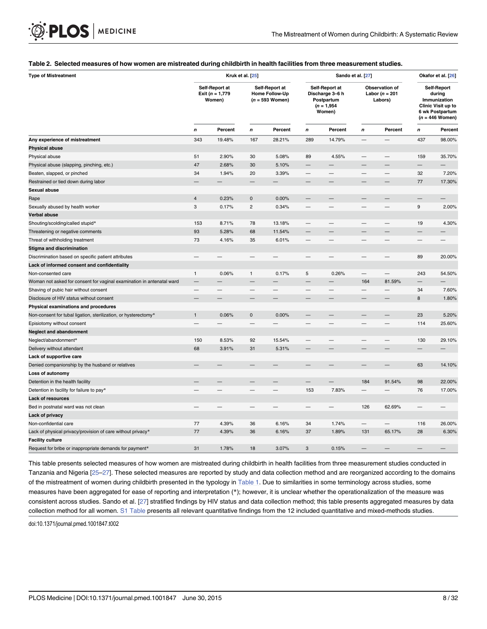#### <span id="page-7-0"></span>[Table 2.](#page-4-0) Selected measures of how women are mistreated during childbirth in health facilities from three measurement studies.

| <b>Type of Mistreatment</b>                                           | Kruk et al. [25] |                                                |                | Sando et al. [27]                                     |                          |                                                                            | Okafor et al. [26]       |                                                |                          |                                                                                                     |  |
|-----------------------------------------------------------------------|------------------|------------------------------------------------|----------------|-------------------------------------------------------|--------------------------|----------------------------------------------------------------------------|--------------------------|------------------------------------------------|--------------------------|-----------------------------------------------------------------------------------------------------|--|
|                                                                       |                  | Self-Report at<br>Exit ( $n = 1,779$<br>Women) |                | Self-Report at<br>Home Follow-Up<br>$(n = 593$ Women) |                          | Self-Report at<br>Discharge 3-6 h<br>Postpartum<br>$(n = 1,954)$<br>Women) |                          | Observation of<br>Labor ( $n = 201$<br>Labors) |                          | Self-Report<br>during<br>Immunization<br>Clinic Visit up to<br>6 wk Postpartum<br>$(n = 446$ Women) |  |
|                                                                       | n                | Percent                                        | n              | Percent                                               | n                        | Percent                                                                    | n                        | Percent                                        | n                        | Percent                                                                                             |  |
| Any experience of mistreatment                                        | 343              | 19.48%                                         | 167            | 28.21%                                                | 289                      | 14.79%                                                                     |                          |                                                | 437                      | 98.00%                                                                                              |  |
| <b>Physical abuse</b>                                                 |                  |                                                |                |                                                       |                          |                                                                            |                          |                                                |                          |                                                                                                     |  |
| Physical abuse                                                        | 51               | 2.90%                                          | 30             | 5.08%                                                 | 89                       | 4.55%                                                                      |                          | $\overline{\phantom{0}}$                       | 159                      | 35.70%                                                                                              |  |
| Physical abuse (slapping, pinching, etc.)                             | 47               | 2.68%                                          | 30             | 5.10%                                                 |                          |                                                                            |                          |                                                | $\overline{\phantom{0}}$ |                                                                                                     |  |
| Beaten, slapped, or pinched                                           | 34               | 1.94%                                          | 20             | 3.39%                                                 |                          |                                                                            |                          |                                                | 32                       | 7.20%                                                                                               |  |
| Restrained or tied down during labor                                  |                  |                                                |                |                                                       |                          |                                                                            |                          |                                                | 77                       | 17.30%                                                                                              |  |
| Sexual abuse                                                          |                  |                                                |                |                                                       |                          |                                                                            |                          |                                                |                          |                                                                                                     |  |
| Rape                                                                  | $\overline{4}$   | 0.23%                                          | $\pmb{0}$      | 0.00%                                                 |                          |                                                                            |                          |                                                |                          |                                                                                                     |  |
| Sexually abused by health worker                                      | 3                | 0.17%                                          | $\overline{c}$ | 0.34%                                                 |                          |                                                                            |                          |                                                | 9                        | 2.00%                                                                                               |  |
| Verbal abuse                                                          |                  |                                                |                |                                                       |                          |                                                                            |                          |                                                |                          |                                                                                                     |  |
| Shouting/scolding/called stupid*                                      | 153              | 8.71%                                          | 78             | 13.18%                                                |                          |                                                                            |                          |                                                | 19                       | 4.30%                                                                                               |  |
| Threatening or negative comments                                      | 93               | 5.28%                                          | 68             | 11.54%                                                |                          |                                                                            |                          |                                                | $\overline{\phantom{0}}$ |                                                                                                     |  |
| Threat of withholding treatment                                       | 73               | 4.16%                                          | 35             | 6.01%                                                 | $\overline{\phantom{m}}$ |                                                                            | $\qquad \qquad -$        | $\qquad \qquad -$                              | $\qquad \qquad -$        | —                                                                                                   |  |
| <b>Stigma and discrimination</b>                                      |                  |                                                |                |                                                       |                          |                                                                            |                          |                                                |                          |                                                                                                     |  |
| Discrimination based on specific patient attributes                   |                  |                                                |                |                                                       |                          |                                                                            | $\overline{\phantom{0}}$ |                                                | 89                       | 20.00%                                                                                              |  |
| Lack of informed consent and confidentiality                          |                  |                                                |                |                                                       |                          |                                                                            |                          |                                                |                          |                                                                                                     |  |
| Non-consented care                                                    | $\mathbf{1}$     | 0.06%                                          | $\mathbf{1}$   | 0.17%                                                 | 5                        | 0.26%                                                                      | $\overline{\phantom{0}}$ | —                                              | 243                      | 54.50%                                                                                              |  |
| Woman not asked for consent for vaginal examination in antenatal ward |                  |                                                |                |                                                       |                          |                                                                            | 164                      | 81.59%                                         | $\qquad \qquad -$        |                                                                                                     |  |
| Shaving of pubic hair without consent                                 |                  |                                                |                |                                                       |                          |                                                                            |                          |                                                | 34                       | 7.60%                                                                                               |  |
| Disclosure of HIV status without consent                              |                  |                                                |                |                                                       |                          |                                                                            |                          |                                                | 8                        | 1.80%                                                                                               |  |
| Physical examinations and procedures                                  |                  |                                                |                |                                                       |                          |                                                                            |                          |                                                |                          |                                                                                                     |  |
| Non-consent for tubal ligation, sterilization, or hysterectomy*       | $\mathbf{1}$     | 0.06%                                          | $\mathbf 0$    | 0.00%                                                 |                          |                                                                            |                          |                                                | 23                       | 5.20%                                                                                               |  |
| Episiotomy without consent                                            |                  |                                                |                |                                                       | $\overline{\phantom{0}}$ |                                                                            |                          |                                                | 114                      | 25.60%                                                                                              |  |
| <b>Neglect and abandonment</b>                                        |                  |                                                |                |                                                       |                          |                                                                            |                          |                                                |                          |                                                                                                     |  |
| Neglect/abandonment*                                                  | 150              | 8.53%                                          | 92             | 15.54%                                                |                          |                                                                            |                          |                                                | 130                      | 29.10%                                                                                              |  |
| Delivery without attendant                                            | 68               | 3.91%                                          | 31             | 5.31%                                                 |                          |                                                                            |                          |                                                | —                        |                                                                                                     |  |
| Lack of supportive care                                               |                  |                                                |                |                                                       |                          |                                                                            |                          |                                                |                          |                                                                                                     |  |
| Denied companionship by the husband or relatives                      |                  |                                                |                |                                                       |                          |                                                                            |                          |                                                | 63                       | 14.10%                                                                                              |  |
| Loss of autonomy                                                      |                  |                                                |                |                                                       |                          |                                                                            |                          |                                                |                          |                                                                                                     |  |
| Detention in the health facility                                      |                  |                                                |                |                                                       | ÷                        |                                                                            | 184                      | 91.54%                                         | 98                       | 22.00%                                                                                              |  |
| Detention in facility for failure to pay*                             |                  |                                                |                |                                                       | 153                      | 7.83%                                                                      |                          |                                                | 76                       | 17.00%                                                                                              |  |
| <b>Lack of resources</b>                                              |                  |                                                |                |                                                       |                          |                                                                            |                          |                                                |                          |                                                                                                     |  |
| Bed in postnatal ward was not clean                                   |                  |                                                |                |                                                       |                          |                                                                            | 126                      | 62.69%                                         | $\overline{\phantom{0}}$ |                                                                                                     |  |
| Lack of privacy                                                       |                  |                                                |                |                                                       |                          |                                                                            |                          |                                                |                          |                                                                                                     |  |
| Non-confidential care                                                 | 77               | 4.39%                                          | 36             | 6.16%                                                 | 34                       | 1.74%                                                                      | $\qquad \qquad -$        |                                                | 116                      | 26.00%                                                                                              |  |
| Lack of physical privacy/provision of care without privacy*           | 77               | 4.39%                                          | 36             | 6.16%                                                 | 37                       | 1.89%                                                                      | 131                      | 65.17%                                         | 28                       | 6.30%                                                                                               |  |
| <b>Facility culture</b>                                               |                  |                                                |                |                                                       |                          |                                                                            |                          |                                                |                          |                                                                                                     |  |
| Request for bribe or inappropriate demands for payment*               | 31               | 1.78%                                          | 18             | 3.07%                                                 | 3                        | 0.15%                                                                      |                          |                                                |                          |                                                                                                     |  |

This table presents selected measures of how women are mistreated during childbirth in health facilities from three measurement studies conducted in Tanzania and Nigeria [[25](#page-25-0)-[27\]](#page-25-0). These selected measures are reported by study and data collection method and are reorganized according to the domains of the mistreatment of women during childbirth presented in the typology in [Table 1.](#page-6-0) Due to similarities in some terminology across studies, some measures have been aggregated for ease of reporting and interpretation (\*); however, it is unclear whether the operationalization of the measure was consistent across studies. Sando et al. [[27](#page-25-0)] stratified findings by HIV status and data collection method; this table presents aggregated measures by data collection method for all women. [S1 Table](#page-23-0) presents all relevant quantitative findings from the 12 included quantitative and mixed-methods studies.

doi:10.1371/journal.pmed.1001847.t002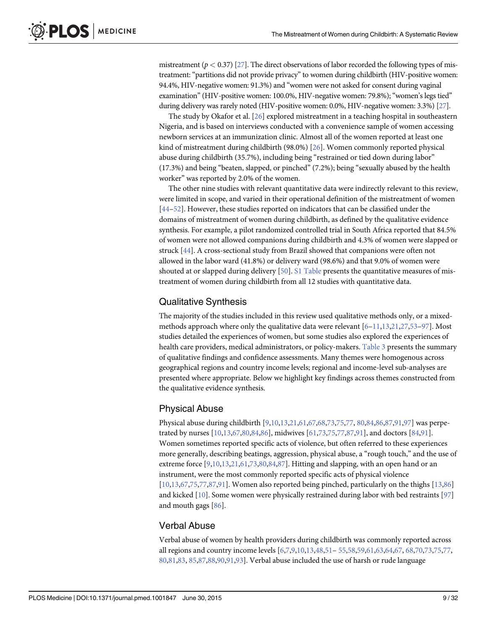<span id="page-8-0"></span>mistreatment ( $p < 0.37$ ) [\[27\]](#page-25-0). The direct observations of labor recorded the following types of mistreatment: "partitions did not provide privacy" to women during childbirth (HIV-positive women: 94.4%, HIV-negative women: 91.3%) and "women were not asked for consent during vaginal examination" (HIV-positive women: 100.0%, HIV-negative women: 79.8%); "women's legs tied" during delivery was rarely noted (HIV-positive women: 0.0%, HIV-negative women: 3.3%) [\[27](#page-25-0)].

The study by Okafor et al. [\[26\]](#page-25-0) explored mistreatment in a teaching hospital in southeastern Nigeria, and is based on interviews conducted with a convenience sample of women accessing newborn services at an immunization clinic. Almost all of the women reported at least one kind of mistreatment during childbirth (98.0%) [\[26\]](#page-25-0). Women commonly reported physical abuse during childbirth (35.7%), including being "restrained or tied down during labor" (17.3%) and being "beaten, slapped, or pinched" (7.2%); being "sexually abused by the health worker" was reported by 2.0% of the women.

The other nine studies with relevant quantitative data were indirectly relevant to this review, were limited in scope, and varied in their operational definition of the mistreatment of women [\[44](#page-26-0)–[52\]](#page-26-0). However, these studies reported on indicators that can be classified under the domains of mistreatment of women during childbirth, as defined by the qualitative evidence synthesis. For example, a pilot randomized controlled trial in South Africa reported that 84.5% of women were not allowed companions during childbirth and 4.3% of women were slapped or struck [\[44\]](#page-26-0). A cross-sectional study from Brazil showed that companions were often not allowed in the labor ward (41.8%) or delivery ward (98.6%) and that 9.0% of women were shouted at or slapped during delivery [[50](#page-26-0)]. [S1 Table](#page-23-0) presents the quantitative measures of mistreatment of women during childbirth from all 12 studies with quantitative data.

# Qualitative Synthesis

The majority of the studies included in this review used qualitative methods only, or a mixedmethods approach where only the qualitative data were relevant [\[6](#page-24-0)–[11,13,21,](#page-24-0)[27](#page-25-0),[53](#page-26-0)–[97\]](#page-28-0). Most studies detailed the experiences of women, but some studies also explored the experiences of health care providers, medical administrators, or policy-makers. [Table 3](#page-9-0) presents the summary of qualitative findings and confidence assessments. Many themes were homogenous across geographical regions and country income levels; regional and income-level sub-analyses are presented where appropriate. Below we highlight key findings across themes constructed from the qualitative evidence synthesis.

# Physical Abuse

Physical abuse during childbirth [[9](#page-24-0),[10,13,21,](#page-24-0)[61,67](#page-26-0),[68,73,75,77](#page-27-0), [80](#page-27-0),[84,86,87,](#page-27-0)[91,97](#page-28-0)] was perpetrated by nurses [[10](#page-24-0),[13](#page-24-0)[,67](#page-26-0)[,80,84,86](#page-27-0)], midwives [[61](#page-26-0)[,73,75,77](#page-27-0),[87](#page-27-0)[,91](#page-28-0)], and doctors [\[84](#page-27-0)[,91\]](#page-28-0). Women sometimes reported specific acts of violence, but often referred to these experiences more generally, describing beatings, aggression, physical abuse, a "rough touch," and the use of extreme force  $[9,10,13,21,61,73,80,84,87]$  $[9,10,13,21,61,73,80,84,87]$  $[9,10,13,21,61,73,80,84,87]$  $[9,10,13,21,61,73,80,84,87]$  $[9,10,13,21,61,73,80,84,87]$  $[9,10,13,21,61,73,80,84,87]$  $[9,10,13,21,61,73,80,84,87]$  $[9,10,13,21,61,73,80,84,87]$ . Hitting and slapping, with an open hand or an instrument, were the most commonly reported specific acts of physical violence [\[10,13,](#page-24-0)[67,](#page-26-0)[75](#page-27-0),[77,87](#page-27-0)[,91\]](#page-28-0). Women also reported being pinched, particularly on the thighs [\[13,](#page-24-0)[86\]](#page-27-0) and kicked [[10](#page-24-0)]. Some women were physically restrained during labor with bed restraints [[97\]](#page-28-0) and mouth gags [[86\]](#page-27-0).

# Verbal Abuse

Verbal abuse of women by health providers during childbirth was commonly reported across all regions and country income levels [\[6,7,9,10,13,](#page-24-0)[48](#page-26-0),[51](#page-26-0)– [55,58,59,61](#page-26-0),[63,64,67,](#page-26-0) [68,70,73,75,77,](#page-27-0) [80,81](#page-27-0),[83](#page-27-0), [85,87,88,](#page-27-0)[90,91,93](#page-28-0)]. Verbal abuse included the use of harsh or rude language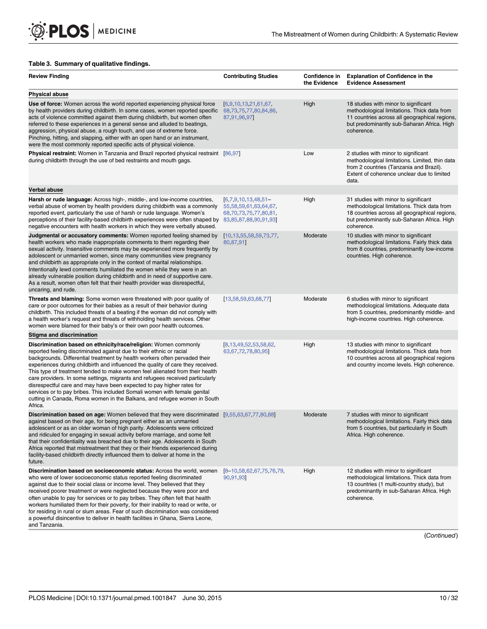#### <span id="page-9-0"></span>[Table 3.](#page-8-0) Summary of qualitative findings.

| <b>Contributing Studies</b>                                                                                                                                                            | Confidence in<br>the Evidence | <b>Explanation of Confidence in the</b><br><b>Evidence Assessment</b>                                                                                                                            |
|----------------------------------------------------------------------------------------------------------------------------------------------------------------------------------------|-------------------------------|--------------------------------------------------------------------------------------------------------------------------------------------------------------------------------------------------|
|                                                                                                                                                                                        |                               |                                                                                                                                                                                                  |
| [6,9,10,13,21,61,67]<br>68,73,75,77,80,84,86,<br>87,91,96,97                                                                                                                           | High                          | 18 studies with minor to significant<br>methodological limitations. Thick data from<br>11 countries across all geographical regions,<br>but predominantly sub-Saharan Africa. High<br>coherence. |
| <b>Physical restraint:</b> Women in Tanzania and Brazil reported physical restraint [86,97]                                                                                            | Low                           | 2 studies with minor to significant<br>methodological limitations. Limited, thin data<br>from 2 countries (Tanzania and Brazil).<br>Extent of coherence unclear due to limited<br>data.          |
|                                                                                                                                                                                        |                               |                                                                                                                                                                                                  |
| $[6,7,9,10,13,48,51-$<br>55, 58, 59, 61, 63, 64, 67,<br>68,70,73,75,77,80,81,<br>perceptions of their facility-based childbirth experiences were often shaped by 83,85,87,88,90,91,93] | High                          | 31 studies with minor to significant<br>methodological limitations. Thick data from<br>18 countries across all geographical regions,<br>but predominantly sub-Saharan Africa. High<br>coherence. |
| [10, 13, 55, 58, 59, 73, 77]<br>80,87,91                                                                                                                                               | Moderate                      | 10 studies with minor to significant<br>methodological limitations. Fairly thick data<br>from 8 countries, predominantly low-income<br>countries. High coherence.                                |
| [13,58,59,63,68,77]                                                                                                                                                                    | Moderate                      | 6 studies with minor to significant<br>methodological limitations. Adequate data<br>from 5 countries, predominantly middle- and<br>high-income countries. High coherence.                        |
|                                                                                                                                                                                        |                               |                                                                                                                                                                                                  |
| [8, 13, 49, 52, 53, 58, 62,<br>63,67,72,78,80,95                                                                                                                                       | High                          | 13 studies with minor to significant<br>methodological limitations. Thick data from<br>10 countries across all geographical regions<br>and country income levels. High coherence.                |
| <b>Discrimination based on age:</b> Women believed that they were discriminated [9,55,63,67,77,80,88]                                                                                  | Moderate                      | 7 studies with minor to significant<br>methodological limitations. Fairly thick data<br>from 5 countries, but particularly in South<br>Africa. High coherence.                                   |
| <u>8–10,58,62,67,75,76,79,</u><br>90,91,93                                                                                                                                             | High                          | 12 studies with minor to significant<br>methodological limitations. Thick data from<br>13 countries (1 multi-country study), but<br>predominantly in sub-Saharan Africa. High<br>coherence.      |
|                                                                                                                                                                                        |                               |                                                                                                                                                                                                  |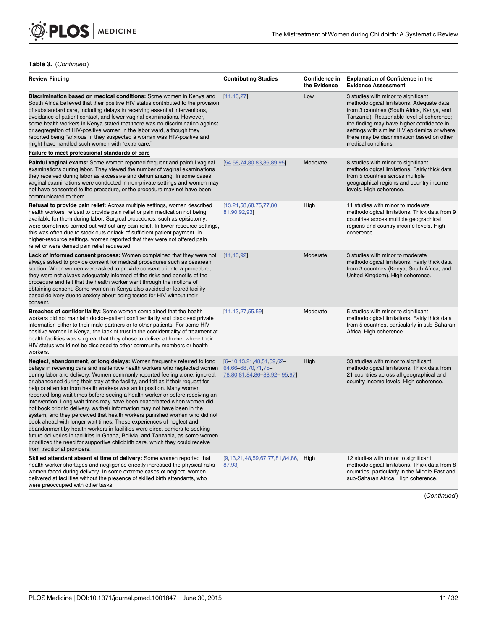<span id="page-10-0"></span>

| <b>Review Finding</b>                                                                                                                                                                                                                                                                                                                                                                                                                                                                                                                                                                                                                                                                                                                                                                                                                                                                                                                                                                                                                                                        | <b>Contributing Studies</b><br>Confidence in<br>the Evidence                            |          | <b>Explanation of Confidence in the</b><br><b>Evidence Assessment</b>                                                                                                                                                                                                                                                                         |  |
|------------------------------------------------------------------------------------------------------------------------------------------------------------------------------------------------------------------------------------------------------------------------------------------------------------------------------------------------------------------------------------------------------------------------------------------------------------------------------------------------------------------------------------------------------------------------------------------------------------------------------------------------------------------------------------------------------------------------------------------------------------------------------------------------------------------------------------------------------------------------------------------------------------------------------------------------------------------------------------------------------------------------------------------------------------------------------|-----------------------------------------------------------------------------------------|----------|-----------------------------------------------------------------------------------------------------------------------------------------------------------------------------------------------------------------------------------------------------------------------------------------------------------------------------------------------|--|
| Discrimination based on medical conditions: Some women in Kenya and<br>South Africa believed that their positive HIV status contributed to the provision<br>of substandard care, including delays in receiving essential interventions,<br>avoidance of patient contact, and fewer vaginal examinations. However,<br>some health workers in Kenya stated that there was no discrimination against<br>or segregation of HIV-positive women in the labor ward, although they<br>reported being "anxious" if they suspected a woman was HIV-positive and<br>might have handled such women with "extra care."                                                                                                                                                                                                                                                                                                                                                                                                                                                                    | [11, 13, 27]                                                                            | Low      | 3 studies with minor to significant<br>methodological limitations. Adequate data<br>from 3 countries (South Africa, Kenya, and<br>Tanzania). Reasonable level of coherence;<br>the finding may have higher confidence in<br>settings with similar HIV epidemics or where<br>there may be discrimination based on other<br>medical conditions. |  |
| Failure to meet professional standards of care                                                                                                                                                                                                                                                                                                                                                                                                                                                                                                                                                                                                                                                                                                                                                                                                                                                                                                                                                                                                                               |                                                                                         |          |                                                                                                                                                                                                                                                                                                                                               |  |
| Painful vaginal exams: Some women reported frequent and painful vaginal<br>examinations during labor. They viewed the number of vaginal examinations<br>they received during labor as excessive and dehumanizing. In some cases,<br>vaginal examinations were conducted in non-private settings and women may<br>not have consented to the procedure, or the procedure may not have been<br>communicated to them.                                                                                                                                                                                                                                                                                                                                                                                                                                                                                                                                                                                                                                                            | [54, 58, 74, 80, 83, 86, 89, 95]                                                        | Moderate | 8 studies with minor to significant<br>methodological limitations. Fairly thick data<br>from 5 countries across multiple<br>geographical regions and country income<br>levels. High coherence.                                                                                                                                                |  |
| <b>Refusal to provide pain relief:</b> Across multiple settings, women described<br>health workers' refusal to provide pain relief or pain medication not being<br>available for them during labor. Surgical procedures, such as episiotomy,<br>were sometimes carried out without any pain relief. In lower-resource settings,<br>this was often due to stock outs or lack of sufficient patient payment. In<br>higher-resource settings, women reported that they were not offered pain<br>relief or were denied pain relief requested.                                                                                                                                                                                                                                                                                                                                                                                                                                                                                                                                    | [13,21,58,68,75,77,80,<br>81,90,92,93                                                   | High     | 11 studies with minor to moderate<br>methodological limitations. Thick data from 9<br>countries across multiple geographical<br>regions and country income levels. High<br>coherence.                                                                                                                                                         |  |
| <b>Lack of informed consent process:</b> Women complained that they were not<br>always asked to provide consent for medical procedures such as cesarean<br>section. When women were asked to provide consent prior to a procedure,<br>they were not always adequately informed of the risks and benefits of the<br>procedure and felt that the health worker went through the motions of<br>obtaining consent. Some women in Kenya also avoided or feared facility-<br>based delivery due to anxiety about being tested for HIV without their<br>consent.                                                                                                                                                                                                                                                                                                                                                                                                                                                                                                                    | [11, 13, 92]                                                                            | Moderate | 3 studies with minor to moderate<br>methodological limitations. Fairly thick data<br>from 3 countries (Kenya, South Africa, and<br>United Kingdom). High coherence.                                                                                                                                                                           |  |
| <b>Breaches of confidentiality:</b> Some women complained that the health<br>workers did not maintain doctor-patient confidentiality and disclosed private<br>information either to their male partners or to other patients. For some HIV-<br>positive women in Kenya, the lack of trust in the confidentiality of treatment at<br>health facilities was so great that they chose to deliver at home, where their<br>HIV status would not be disclosed to other community members or health<br>workers.                                                                                                                                                                                                                                                                                                                                                                                                                                                                                                                                                                     | [11, 13, 27, 55, 59]                                                                    | Moderate | 5 studies with minor to significant<br>methodological limitations. Fairly thick data<br>from 5 countries, particularly in sub-Saharan<br>Africa. High coherence.                                                                                                                                                                              |  |
| Neglect, abandonment, or long delays: Women frequently referred to long<br>delays in receiving care and inattentive health workers who neglected women<br>during labor and delivery. Women commonly reported feeling alone, ignored,<br>or abandoned during their stay at the facility, and felt as if their request for<br>help or attention from health workers was an imposition. Many women<br>reported long wait times before seeing a health worker or before receiving an<br>intervention. Long wait times may have been exacerbated when women did<br>not book prior to delivery, as their information may not have been in the<br>system, and they perceived that health workers punished women who did not<br>book ahead with longer wait times. These experiences of neglect and<br>abandonment by health workers in facilities were direct barriers to seeking<br>future deliveries in facilities in Ghana, Bolivia, and Tanzania, as some women<br>prioritized the need for supportive childbirth care, which they could receive<br>from traditional providers. | $[6 - 10, 13, 21, 48, 51, 59, 62 -$<br>64,66-68,70,71,75-<br>78,80,81,84,86-88,92-95,97 | High     | 33 studies with minor to significant<br>methodological limitations. Thick data from<br>21 countries across all geographical and<br>country income levels. High coherence.                                                                                                                                                                     |  |
| Skilled attendant absent at time of delivery: Some women reported that<br>health worker shortages and negligence directly increased the physical risks<br>women faced during delivery. In some extreme cases of neglect, women<br>delivered at facilities without the presence of skilled birth attendants, who<br>were preoccupied with other tasks.                                                                                                                                                                                                                                                                                                                                                                                                                                                                                                                                                                                                                                                                                                                        | 9, 13, 21, 48, 59, 67, 77, 81, 84, 86,<br>87,93                                         | High     | 12 studies with minor to significant<br>methodological limitations. Thick data from 8<br>countries, particularly in the Middle East and<br>sub-Saharan Africa. High coherence.                                                                                                                                                                |  |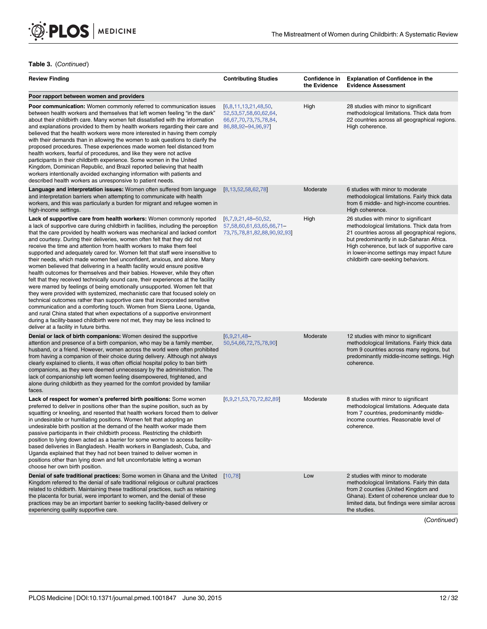<span id="page-11-0"></span>

| <b>Review Finding</b>                                                                                                                                                                                                                                                                                                                                                                                                                                                                                                                                                                                                                                                                                                                                                                                                                                                                                                                                                                                                                                                                                                                                                                                                                                                                                                                           | <b>Contributing Studies</b>                                                                  | Confidence in<br>the Evidence | <b>Explanation of Confidence in the</b><br><b>Evidence Assessment</b>                                                                                                                                                                                                                                               |
|-------------------------------------------------------------------------------------------------------------------------------------------------------------------------------------------------------------------------------------------------------------------------------------------------------------------------------------------------------------------------------------------------------------------------------------------------------------------------------------------------------------------------------------------------------------------------------------------------------------------------------------------------------------------------------------------------------------------------------------------------------------------------------------------------------------------------------------------------------------------------------------------------------------------------------------------------------------------------------------------------------------------------------------------------------------------------------------------------------------------------------------------------------------------------------------------------------------------------------------------------------------------------------------------------------------------------------------------------|----------------------------------------------------------------------------------------------|-------------------------------|---------------------------------------------------------------------------------------------------------------------------------------------------------------------------------------------------------------------------------------------------------------------------------------------------------------------|
| Poor rapport between women and providers                                                                                                                                                                                                                                                                                                                                                                                                                                                                                                                                                                                                                                                                                                                                                                                                                                                                                                                                                                                                                                                                                                                                                                                                                                                                                                        |                                                                                              |                               |                                                                                                                                                                                                                                                                                                                     |
| Poor communication: Women commonly referred to communication issues<br>between health workers and themselves that left women feeling "in the dark"<br>about their childbirth care. Many women felt dissatisfied with the information<br>and explanations provided to them by health workers regarding their care and<br>believed that the health workers were more interested in having them comply<br>with their demands than in allowing the women to ask questions to clarify the<br>proposed procedures. These experiences made women feel distanced from<br>health workers, fearful of procedures, and like they were not active<br>participants in their childbirth experience. Some women in the United<br>Kingdom, Dominican Republic, and Brazil reported believing that health<br>workers intentionally avoided exchanging information with patients and<br>described health workers as unresponsive to patient needs.                                                                                                                                                                                                                                                                                                                                                                                                                | [6,8,11,13,21,48,50]<br>52,53,57,58,60,62,64,<br>66,67,70,73,75,78,84,<br>86,88,92-94,96,97] | High                          | 28 studies with minor to significant<br>methodological limitations. Thick data from<br>22 countries across all geographical regions.<br>High coherence.                                                                                                                                                             |
| <b>Language and interpretation issues:</b> Women often suffered from language<br>and interpretation barriers when attempting to communicate with health<br>workers, and this was particularly a burden for migrant and refugee women in<br>high-income settings.                                                                                                                                                                                                                                                                                                                                                                                                                                                                                                                                                                                                                                                                                                                                                                                                                                                                                                                                                                                                                                                                                | [8, 13, 52, 58, 62, 78]                                                                      | Moderate                      | 6 studies with minor to moderate<br>methodological limitations. Fairly thick data<br>from 6 middle- and high-income countries.<br>High coherence.                                                                                                                                                                   |
| <b>Lack of supportive care from health workers:</b> Women commonly reported<br>a lack of supportive care during childbirth in facilities, including the perception<br>that the care provided by health workers was mechanical and lacked comfort<br>and courtesy. During their deliveries, women often felt that they did not<br>receive the time and attention from health workers to make them feel<br>supported and adequately cared for. Women felt that staff were insensitive to<br>their needs, which made women feel unconfident, anxious, and alone. Many<br>women believed that delivering in a health facility would ensure positive<br>health outcomes for themselves and their babies. However, while they often<br>felt that they received technically sound care, their experiences at the facility<br>were marred by feelings of being emotionally unsupported. Women felt that<br>they were provided with systemized, mechanistic care that focused solely on<br>technical outcomes rather than supportive care that incorporated sensitive<br>communication and a comforting touch. Women from Sierra Leone, Uganda,<br>and rural China stated that when expectations of a supportive environment<br>during a facility-based childbirth were not met, they may be less inclined to<br>deliver at a facility in future births. | $[6,7,9,21,48-50,52]$<br>57,58,60,61,63,65,66,71-<br>73,75,78,81,82,88,90,92,93              | High                          | 26 studies with minor to significant<br>methodological limitations. Thick data from<br>21 countries across all geographical regions,<br>but predominantly in sub-Saharan Africa.<br>High coherence, but lack of supportive care<br>in lower-income settings may impact future<br>childbirth care-seeking behaviors. |
| <b>Denial or lack of birth companions:</b> Women desired the supportive<br>attention and presence of a birth companion, who may be a family member,<br>husband, or a friend. However, women across the world were often prohibited<br>from having a companion of their choice during delivery. Although not always<br>clearly explained to clients, it was often official hospital policy to ban birth<br>companions, as they were deemed unnecessary by the administration. The<br>lack of companionship left women feeling disempowered, frightened, and<br>alone during childbirth as they yearned for the comfort provided by familiar<br>faces.                                                                                                                                                                                                                                                                                                                                                                                                                                                                                                                                                                                                                                                                                            | [6,9,21,48]<br>50,54,66,72,75,78,90]                                                         | Moderate                      | 12 studies with minor to significant<br>methodological limitations. Fairly thick data<br>from 9 countries across many regions, but<br>predominantly middle-income settings. High<br>coherence.                                                                                                                      |
| Lack of respect for women's preferred birth positions: Some women<br>preferred to deliver in positions other than the supine position, such as by<br>squatting or kneeling, and resented that health workers forced them to deliver<br>in undesirable or humiliating positions. Women felt that adopting an<br>undesirable birth position at the demand of the health worker made them<br>passive participants in their childbirth process. Restricting the childbirth<br>position to lying down acted as a barrier for some women to access facility-<br>based deliveries in Bangladesh. Health workers in Bangladesh, Cuba, and<br>Uganda explained that they had not been trained to deliver women in<br>positions other than lying down and felt uncomfortable letting a woman<br>choose her own birth position.                                                                                                                                                                                                                                                                                                                                                                                                                                                                                                                            | [6,9,21,53,70,72,82,89]                                                                      | Moderate                      | 8 studies with minor to significant<br>methodological limitations. Adequate data<br>from 7 countries, predominantly middle-<br>income countries. Reasonable level of<br>coherence.                                                                                                                                  |
| Denial of safe traditional practices: Some women in Ghana and the United<br>Kingdom referred to the denial of safe traditional religious or cultural practices<br>related to childbirth. Maintaining these traditional practices, such as retaining<br>the placenta for burial, were important to women, and the denial of these<br>practices may be an important barrier to seeking facility-based delivery or<br>experiencing quality supportive care.                                                                                                                                                                                                                                                                                                                                                                                                                                                                                                                                                                                                                                                                                                                                                                                                                                                                                        | [10, 78]                                                                                     | Low                           | 2 studies with minor to moderate<br>methodological limitations. Fairly thin data<br>from 2 counties (United Kingdom and<br>Ghana). Extent of coherence unclear due to<br>limited data, but findings were similar across<br>the studies.                                                                             |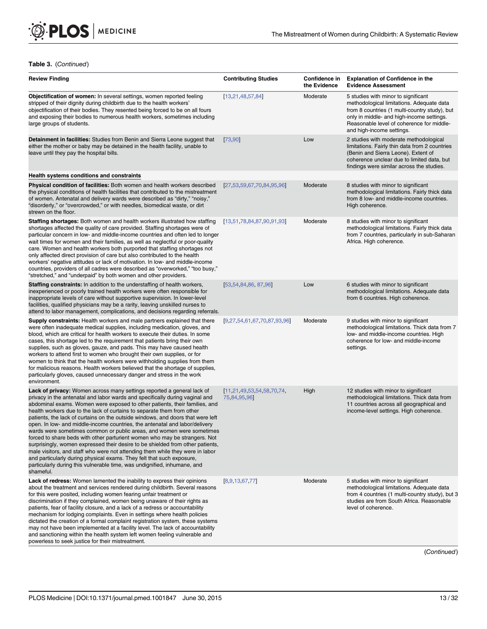| <b>Review Finding</b>                                                                                                                                                                                                                                                                                                                                                                                                                                                                                                                                                                                                                                                                                                                                                                                                                                                                                                                                                               | <b>Contributing Studies</b>              | Confidence in<br>the Evidence | <b>Explanation of Confidence in the</b><br><b>Evidence Assessment</b>                                                                                                                                                                                    |
|-------------------------------------------------------------------------------------------------------------------------------------------------------------------------------------------------------------------------------------------------------------------------------------------------------------------------------------------------------------------------------------------------------------------------------------------------------------------------------------------------------------------------------------------------------------------------------------------------------------------------------------------------------------------------------------------------------------------------------------------------------------------------------------------------------------------------------------------------------------------------------------------------------------------------------------------------------------------------------------|------------------------------------------|-------------------------------|----------------------------------------------------------------------------------------------------------------------------------------------------------------------------------------------------------------------------------------------------------|
| <b>Objectification of women:</b> In several settings, women reported feeling<br>stripped of their dignity during childbirth due to the health workers'<br>objectification of their bodies. They resented being forced to be on all fours<br>and exposing their bodies to numerous health workers, sometimes including<br>large groups of students.                                                                                                                                                                                                                                                                                                                                                                                                                                                                                                                                                                                                                                  | [13, 21, 48, 57, 84]                     | Moderate                      | 5 studies with minor to significant<br>methodological limitations. Adequate data<br>from 8 countries (1 multi-country study), but<br>only in middle- and high-income settings.<br>Reasonable level of coherence for middle-<br>and high-income settings. |
| <b>Detainment in facilities:</b> Studies from Benin and Sierra Leone suggest that<br>either the mother or baby may be detained in the health facility, unable to<br>leave until they pay the hospital bills.                                                                                                                                                                                                                                                                                                                                                                                                                                                                                                                                                                                                                                                                                                                                                                        | [73, 90]                                 | Low                           | 2 studies with moderate methodological<br>limitations. Fairly thin data from 2 countries<br>(Benin and Sierra Leone). Extent of<br>coherence unclear due to limited data, but<br>findings were similar across the studies.                               |
| Health systems conditions and constraints                                                                                                                                                                                                                                                                                                                                                                                                                                                                                                                                                                                                                                                                                                                                                                                                                                                                                                                                           |                                          |                               |                                                                                                                                                                                                                                                          |
| <b>Physical condition of facilities:</b> Both women and health workers described<br>the physical conditions of health facilities that contributed to the mistreatment<br>of women. Antenatal and delivery wards were described as "dirty," "noisy,"<br>"disorderly," or "overcrowded," or with needles, biomedical waste, or dirt<br>strewn on the floor.                                                                                                                                                                                                                                                                                                                                                                                                                                                                                                                                                                                                                           | [27, 53, 59, 67, 70, 84, 95, 96]         | Moderate                      | 8 studies with minor to significant<br>methodological limitations. Fairly thick data<br>from 8 low- and middle-income countries.<br>High coherence.                                                                                                      |
| Staffing shortages: Both women and health workers illustrated how staffing<br>shortages affected the quality of care provided. Staffing shortages were of<br>particular concern in low- and middle-income countries and often led to longer<br>wait times for women and their families, as well as neglectful or poor-quality<br>care. Women and health workers both purported that staffing shortages not<br>only affected direct provision of care but also contributed to the health<br>workers' negative attitudes or lack of motivation. In low- and middle-income<br>countries, providers of all cadres were described as "overworked," "too busy,"<br>"stretched," and "underpaid" by both women and other providers.                                                                                                                                                                                                                                                        | [13,51,78,84,87,90,91,93]                | Moderate                      | 8 studies with minor to significant<br>methodological limitations. Fairly thick data<br>from 7 countries, particularly in sub-Saharan<br>Africa. High coherence.                                                                                         |
| <b>Staffing constraints:</b> In addition to the understaffing of health workers,<br>inexperienced or poorly trained health workers were often responsible for<br>inappropriate levels of care without supportive supervision. In lower-level<br>facilities, qualified physicians may be a rarity, leaving unskilled nurses to<br>attend to labor management, complications, and decisions regarding referrals.                                                                                                                                                                                                                                                                                                                                                                                                                                                                                                                                                                      | [53, 54, 84, 86, 87, 96]                 | Low                           | 6 studies with minor to significant<br>methodological limitations. Adequate data<br>from 6 countries. High coherence.                                                                                                                                    |
| Supply constraints: Health workers and male partners explained that there<br>were often inadequate medical supplies, including medication, gloves, and<br>blood, which are critical for health workers to execute their duties. In some<br>cases, this shortage led to the requirement that patients bring their own<br>supplies, such as gloves, gauze, and pads. This may have caused health<br>workers to attend first to women who brought their own supplies, or for<br>women to think that the health workers were withholding supplies from them<br>for malicious reasons. Health workers believed that the shortage of supplies,<br>particularly gloves, caused unnecessary danger and stress in the work<br>environment.                                                                                                                                                                                                                                                   | [9,27,54,61,67,70,87,93,96]              | Moderate                      | 9 studies with minor to significant<br>methodological limitations. Thick data from 7<br>low- and middle-income countries. High<br>coherence for low- and middle-income<br>settings.                                                                      |
| <b>Lack of privacy:</b> Women across many settings reported a general lack of<br>privacy in the antenatal and labor wards and specifically during vaginal and<br>abdominal exams. Women were exposed to other patients, their families, and<br>health workers due to the lack of curtains to separate them from other<br>patients, the lack of curtains on the outside windows, and doors that were left<br>open. In low- and middle-income countries, the antenatal and labor/delivery<br>wards were sometimes common or public areas, and women were sometimes<br>forced to share beds with other parturient women who may be strangers. Not<br>surprisingly, women expressed their desire to be shielded from other patients,<br>male visitors, and staff who were not attending them while they were in labor<br>and particularly during physical exams. They felt that such exposure,<br>particularly during this vulnerable time, was undignified, inhumane, and<br>shameful. | [11,21,49,53,54,58,70,74,<br>75,84,95,96 | High                          | 12 studies with minor to significant<br>methodological limitations. Thick data from<br>11 countries across all geographical and<br>income-level settings. High coherence.                                                                                |
| <b>Lack of redress:</b> Women lamented the inability to express their opinions<br>about the treatment and services rendered during childbirth. Several reasons<br>for this were posited, including women fearing unfair treatment or<br>discrimination if they complained, women being unaware of their rights as<br>patients, fear of facility closure, and a lack of a redress or accountability<br>mechanism for lodging complaints. Even in settings where health policies<br>dictated the creation of a formal complaint registration system, these systems<br>may not have been implemented at a facility level. The lack of accountability<br>and sanctioning within the health system left women feeling vulnerable and<br>powerless to seek justice for their mistreatment.                                                                                                                                                                                                | 8,9,13,67,77                             | Moderate                      | 5 studies with minor to significant<br>methodological limitations. Adequate data<br>from 4 countries (1 multi-country study), but 3<br>studies are from South Africa. Reasonable<br>level of coherence.                                                  |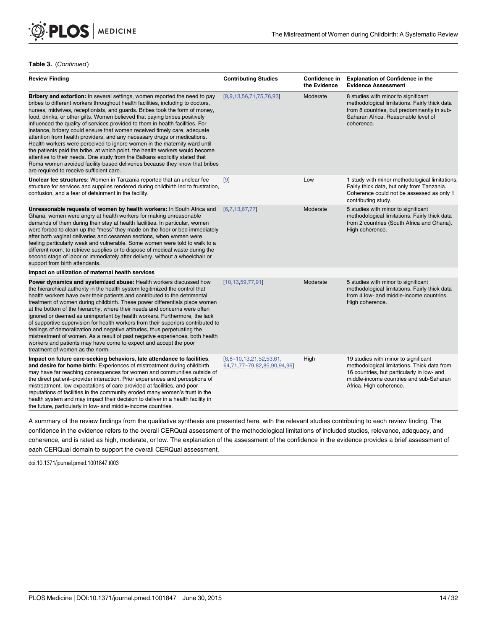<span id="page-13-0"></span>

| <b>Review Finding</b>                                                                                                                                                                                                                                                                                                                                                                                                                                                                                                                                                                                                                                                                                                                                                                                                                                                                                                                            | <b>Contributing Studies</b>                              | Confidence in<br>the Evidence | <b>Explanation of Confidence in the</b><br><b>Evidence Assessment</b>                                                                                                                                   |
|--------------------------------------------------------------------------------------------------------------------------------------------------------------------------------------------------------------------------------------------------------------------------------------------------------------------------------------------------------------------------------------------------------------------------------------------------------------------------------------------------------------------------------------------------------------------------------------------------------------------------------------------------------------------------------------------------------------------------------------------------------------------------------------------------------------------------------------------------------------------------------------------------------------------------------------------------|----------------------------------------------------------|-------------------------------|---------------------------------------------------------------------------------------------------------------------------------------------------------------------------------------------------------|
| <b>Bribery and extortion:</b> In several settings, women reported the need to pay<br>bribes to different workers throughout health facilities, including to doctors,<br>nurses, midwives, receptionists, and guards. Bribes took the form of money,<br>food, drinks, or other gifts. Women believed that paying bribes positively<br>influenced the quality of services provided to them in health facilities. For<br>instance, bribery could ensure that women received timely care, adequate<br>attention from health providers, and any necessary drugs or medications.<br>Health workers were perceived to ignore women in the maternity ward until<br>the patients paid the bribe, at which point, the health workers would become<br>attentive to their needs. One study from the Balkans explicitly stated that<br>Roma women avoided facility-based deliveries because they know that bribes<br>are required to receive sufficient care. | [8,9,13,56,71,75,76,93]                                  | Moderate                      | 8 studies with minor to significant<br>methodological limitations. Fairly thick data<br>from 8 countries, but predominantly in sub-<br>Saharan Africa. Reasonable level of<br>coherence.                |
| Unclear fee structures: Women in Tanzania reported that an unclear fee<br>structure for services and supplies rendered during childbirth led to frustration,<br>confusion, and a fear of detainment in the facility.                                                                                                                                                                                                                                                                                                                                                                                                                                                                                                                                                                                                                                                                                                                             | $\left[9\right]$                                         | Low                           | 1 study with minor methodological limitations.<br>Fairly thick data, but only from Tanzania.<br>Coherence could not be assessed as only 1<br>contributing study.                                        |
| Unreasonable requests of women by health workers: In South Africa and<br>Ghana, women were angry at health workers for making unreasonable<br>demands of them during their stay at health facilities. In particular, women<br>were forced to clean up the "mess" they made on the floor or bed immediately<br>after both vaginal deliveries and cesarean sections, when women were<br>feeling particularly weak and vulnerable. Some women were told to walk to a<br>different room, to retrieve supplies or to dispose of medical waste during the<br>second stage of labor or immediately after delivery, without a wheelchair or<br>support from birth attendants.                                                                                                                                                                                                                                                                            | [6,7,13,67,77]                                           | Moderate                      | 5 studies with minor to significant<br>methodological limitations. Fairly thick data<br>from 2 countries (South Africa and Ghana).<br>High coherence.                                                   |
| Impact on utilization of maternal health services                                                                                                                                                                                                                                                                                                                                                                                                                                                                                                                                                                                                                                                                                                                                                                                                                                                                                                |                                                          |                               |                                                                                                                                                                                                         |
| Power dynamics and systemized abuse: Health workers discussed how<br>the hierarchical authority in the health system legitimized the control that<br>health workers have over their patients and contributed to the detrimental<br>treatment of women during childbirth. These power differentials place women<br>at the bottom of the hierarchy, where their needs and concerns were often<br>ignored or deemed as unimportant by health workers. Furthermore, the lack<br>of supportive supervision for health workers from their superiors contributed to<br>feelings of demoralization and negative attitudes, thus perpetuating the<br>mistreatment of women. As a result of past negative experiences, both health<br>workers and patients may have come to expect and accept the poor<br>treatment of women as the norm.                                                                                                                  | [10, 13, 59, 77, 91]                                     | Moderate                      | 5 studies with minor to significant<br>methodological limitations. Fairly thick data<br>from 4 low- and middle-income countries.<br>High coherence.                                                     |
| Impact on future care-seeking behaviors, late attendance to facilities,<br>and desire for home birth: Experiences of mistreatment during childbirth<br>may have far reaching consequences for women and communities outside of<br>the direct patient-provider interaction. Prior experiences and perceptions of<br>mistreatment, low expectations of care provided at facilities, and poor<br>reputations of facilities in the community eroded many women's trust in the<br>health system and may impact their decision to deliver in a health facility in<br>the future, particularly in low- and middle-income countries.                                                                                                                                                                                                                                                                                                                     | $[6,8-10,13,21,52,53,61]$<br>64,71,77-79,82,85,90,94,96] | High                          | 19 studies with minor to significant<br>methodological limitations. Thick data from<br>16 countries, but particularly in low- and<br>middle-income countries and sub-Saharan<br>Africa. High coherence. |

A summary of the review findings from the qualitative synthesis are presented here, with the relevant studies contributing to each review finding. The confidence in the evidence refers to the overall CERQual assessment of the methodological limitations of included studies, relevance, adequacy, and coherence, and is rated as high, moderate, or low. The explanation of the assessment of the confidence in the evidence provides a brief assessment of each CERQual domain to support the overall CERQual assessment.

doi:10.1371/journal.pmed.1001847.t003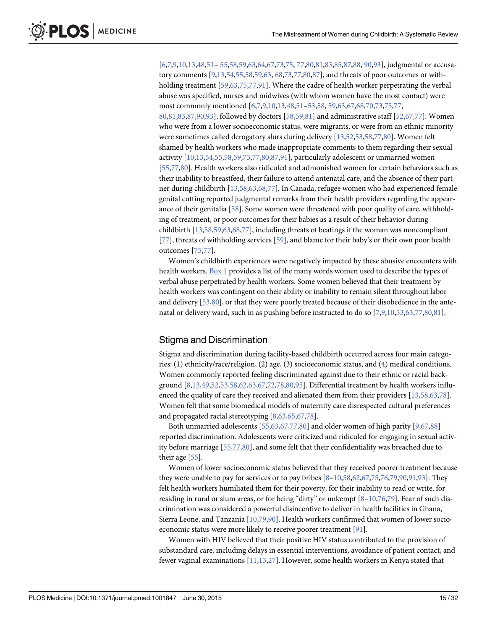[\[6,7,9,10,13,](#page-24-0)[48,51](#page-26-0)- [55,58,59,63,64](#page-26-0),[67](#page-26-0)[,73,75,](#page-27-0) [77,80](#page-27-0),[81,83,85,87,88](#page-27-0), [90](#page-28-0),[93](#page-28-0)], judgmental or accusa-tory comments [[9,13](#page-24-0),[54,55,58,59](#page-26-0),[63](#page-26-0), [68,73,77,80,87](#page-27-0)], and threats of poor outcomes or with-holding treatment [[59,63,](#page-26-0)[75,77](#page-27-0),[91](#page-28-0)]. Where the cadre of health worker perpetrating the verbal abuse was specified, nurses and midwives (with whom women have the most contact) were most commonly mentioned [[6,7,9,10,13](#page-24-0),[48,51](#page-26-0)–[53,58](#page-26-0), [59](#page-26-0),[63,67,](#page-26-0)[68,70](#page-27-0),[73,75,77,](#page-27-0) [80,81](#page-27-0),[83,87](#page-27-0)[,90,93](#page-28-0)], followed by doctors [[58](#page-26-0),[59](#page-26-0)[,81\]](#page-27-0) and administrative staff [[52,67](#page-26-0),[77](#page-27-0)]. Women who were from a lower socioeconomic status, were migrants, or were from an ethnic minority were sometimes called derogatory slurs during delivery [\[13,](#page-24-0)[52,53](#page-26-0),[58](#page-26-0)[,77,80\]](#page-27-0). Women felt shamed by health workers who made inappropriate comments to them regarding their sexual activity  $[10,13,54,55,58,59,73,77,80,87,91]$  $[10,13,54,55,58,59,73,77,80,87,91]$  $[10,13,54,55,58,59,73,77,80,87,91]$  $[10,13,54,55,58,59,73,77,80,87,91]$  $[10,13,54,55,58,59,73,77,80,87,91]$  $[10,13,54,55,58,59,73,77,80,87,91]$  $[10,13,54,55,58,59,73,77,80,87,91]$  $[10,13,54,55,58,59,73,77,80,87,91]$  $[10,13,54,55,58,59,73,77,80,87,91]$  $[10,13,54,55,58,59,73,77,80,87,91]$ , particularly adolescent or unmarried women [\[55](#page-26-0)[,77,80\]](#page-27-0). Health workers also ridiculed and admonished women for certain behaviors such as their inability to breastfeed, their failure to attend antenatal care, and the absence of their partner during childbirth [\[13](#page-24-0)[,58,63,](#page-26-0)[68](#page-27-0),[77](#page-27-0)]. In Canada, refugee women who had experienced female genital cutting reported judgmental remarks from their health providers regarding the appearance of their genitalia [[58](#page-26-0)]. Some women were threatened with poor quality of care, withholding of treatment, or poor outcomes for their babies as a result of their behavior during childbirth [\[13,](#page-24-0)[58](#page-26-0),[59,63](#page-26-0)[,68,77\]](#page-27-0), including threats of beatings if the woman was noncompliant [\[77](#page-27-0)], threats of withholding services [\[59\]](#page-26-0), and blame for their baby's or their own poor health outcomes [[75,77](#page-27-0)].

Women's childbirth experiences were negatively impacted by these abusive encounters with health workers. Box 1 provides a list of the many words women used to describe the types of verbal abuse perpetrated by health workers. Some women believed that their treatment by health workers was contingent on their ability or inability to remain silent throughout labor and delivery [\[53](#page-26-0)[,80\]](#page-27-0), or that they were poorly treated because of their disobedience in the antenatal or delivery ward, such in as pushing before instructed to do so [\[7,9,10](#page-24-0)[,53,63,](#page-26-0)[77](#page-27-0),[80,81\]](#page-27-0).

# Stigma and Discrimination

Stigma and discrimination during facility-based childbirth occurred across four main categories: (1) ethnicity/race/religion, (2) age, (3) socioeconomic status, and (4) medical conditions. Women commonly reported feeling discriminated against due to their ethnic or racial background [[8,13](#page-24-0)[,49,52,53,58](#page-26-0),[62,63,67,](#page-26-0)[72,78](#page-27-0),[80](#page-27-0)[,95\]](#page-28-0). Differential treatment by health workers influ-enced the quality of care they received and alienated them from their providers [\[13,](#page-24-0)[58](#page-26-0),[63](#page-26-0)[,78\]](#page-27-0). Women felt that some biomedical models of maternity care disrespected cultural preferences and propagated racial stereotyping [[8,](#page-24-0)[63](#page-26-0),[65,67](#page-26-0)[,78\]](#page-27-0).

Both unmarried adolescents [\[55,63](#page-26-0),[67](#page-26-0)[,77,80\]](#page-27-0) and older women of high parity [\[9](#page-24-0)[,67,](#page-26-0)[88\]](#page-27-0) reported discrimination. Adolescents were criticized and ridiculed for engaging in sexual activity before marriage [[55](#page-26-0),[77,80\]](#page-27-0), and some felt that their confidentiality was breached due to their age  $[55]$  $[55]$  $[55]$ .

Women of lower socioeconomic status believed that they received poorer treatment because they were unable to pay for services or to pay bribes  $[8-10,58,62,67,75,76,79,90,91,93]$  $[8-10,58,62,67,75,76,79,90,91,93]$  $[8-10,58,62,67,75,76,79,90,91,93]$  $[8-10,58,62,67,75,76,79,90,91,93]$  $[8-10,58,62,67,75,76,79,90,91,93]$  $[8-10,58,62,67,75,76,79,90,91,93]$  $[8-10,58,62,67,75,76,79,90,91,93]$  $[8-10,58,62,67,75,76,79,90,91,93]$  $[8-10,58,62,67,75,76,79,90,91,93]$  $[8-10,58,62,67,75,76,79,90,91,93]$  $[8-10,58,62,67,75,76,79,90,91,93]$ . They felt health workers humiliated them for their poverty, for their inability to read or write, for residing in rural or slum areas, or for being "dirty" or unkempt  $[8-10,76,79]$  $[8-10,76,79]$  $[8-10,76,79]$  $[8-10,76,79]$ . Fear of such discrimination was considered a powerful disincentive to deliver in health facilities in Ghana, Sierra Leone, and Tanzania [[10](#page-24-0)[,79](#page-27-0)[,90\]](#page-28-0). Health workers confirmed that women of lower socioeconomic status were more likely to receive poorer treatment [\[91\]](#page-28-0).

Women with HIV believed that their positive HIV status contributed to the provision of substandard care, including delays in essential interventions, avoidance of patient contact, and fewer vaginal examinations [[11,13](#page-24-0)[,27\]](#page-25-0). However, some health workers in Kenya stated that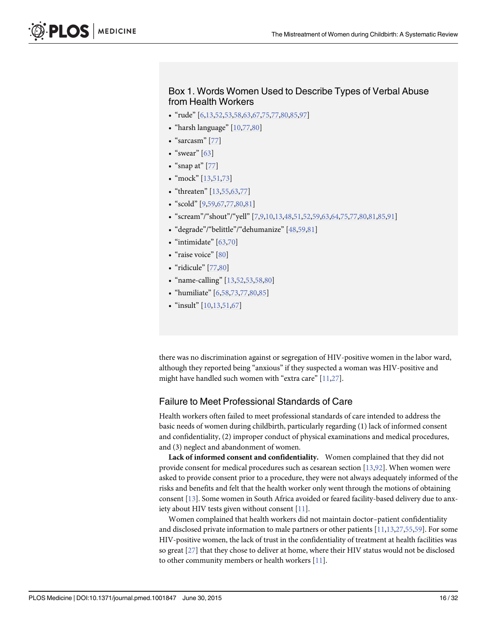# Box 1. Words Women Used to Describe Types of Verbal Abuse from Health Workers

- "rude" [[6](#page-24-0),[13](#page-24-0)[,52,53,58,63](#page-26-0),[67](#page-26-0)[,75,77,80](#page-27-0),[85](#page-27-0)[,97](#page-28-0)]
- "harsh language"  $[10,77,80]$  $[10,77,80]$  $[10,77,80]$
- "sarcasm" [\[77](#page-27-0)]
- "swear"  $[63]$
- "snap at"  $[77]$  $[77]$  $[77]$
- "mock" [[13](#page-24-0)[,51](#page-26-0)[,73\]](#page-27-0)
- "threaten" [[13](#page-24-0)[,55,63,](#page-26-0)[77\]](#page-27-0)
- "scold" [[9,](#page-24-0)[59,67](#page-26-0)[,77,80,81\]](#page-27-0)
- "scream"/"shout"/"yell" [[7,9,10](#page-24-0),[13](#page-24-0)[,48,51,52,59](#page-26-0),[63,64,](#page-26-0)[75,77](#page-27-0),[80,81,85,](#page-27-0)[91\]](#page-28-0)
- "degrade"/"belittle"/"dehumanize" [[48,59](#page-26-0)[,81](#page-27-0)]
- "intimidate" [[63](#page-26-0)[,70\]](#page-27-0)
- "raise voice" [[80](#page-27-0)]
- "ridicule" [[77,80\]](#page-27-0)
- "name-calling" [\[13,](#page-24-0)[52,53](#page-26-0),[58](#page-26-0)[,80\]](#page-27-0)
- "humiliate" [\[6](#page-24-0)[,58](#page-26-0)[,73,77,80,85](#page-27-0)]
- "insult"  $[10, 13, 51, 67]$  $[10, 13, 51, 67]$  $[10, 13, 51, 67]$  $[10, 13, 51, 67]$  $[10, 13, 51, 67]$

there was no discrimination against or segregation of HIV-positive women in the labor ward, although they reported being "anxious" if they suspected a woman was HIV-positive and might have handled such women with "extra care"  $[11,27]$  $[11,27]$ .

# Failure to Meet Professional Standards of Care

Health workers often failed to meet professional standards of care intended to address the basic needs of women during childbirth, particularly regarding (1) lack of informed consent and confidentiality, (2) improper conduct of physical examinations and medical procedures, and (3) neglect and abandonment of women.

Lack of informed consent and confidentiality. Women complained that they did not provide consent for medical procedures such as cesarean section  $[13,92]$  $[13,92]$  $[13,92]$  $[13,92]$  $[13,92]$ . When women were asked to provide consent prior to a procedure, they were not always adequately informed of the risks and benefits and felt that the health worker only went through the motions of obtaining consent [\[13](#page-24-0)]. Some women in South Africa avoided or feared facility-based delivery due to anxiety about HIV tests given without consent  $[11]$  $[11]$  $[11]$ .

Women complained that health workers did not maintain doctor–patient confidentiality and disclosed private information to male partners or other patients [\[11,13](#page-24-0),[27](#page-25-0)[,55,59\]](#page-26-0). For some HIV-positive women, the lack of trust in the confidentiality of treatment at health facilities was so great [\[27\]](#page-25-0) that they chose to deliver at home, where their HIV status would not be disclosed to other community members or health workers  $[11]$ .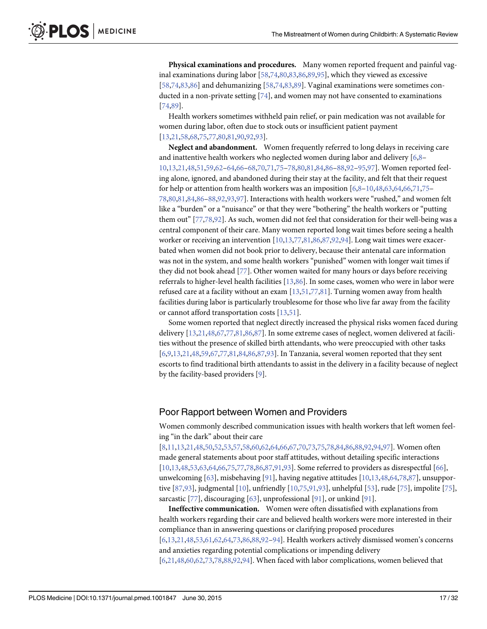Physical examinations and procedures. Many women reported frequent and painful vaginal examinations during labor [[58](#page-26-0),[74,80,83,86,89](#page-27-0),[95](#page-28-0)], which they viewed as excessive [\[58](#page-26-0)[,74,83,86](#page-27-0)] and dehumanizing [\[58,](#page-26-0)[74](#page-27-0),[83,89](#page-27-0)]. Vaginal examinations were sometimes conducted in a non-private setting  $[74]$ , and women may not have consented to examinations [\[74,89\]](#page-27-0).

Health workers sometimes withheld pain relief, or pain medication was not available for women during labor, often due to stock outs or insufficient patient payment [\[13,21,](#page-24-0)[58,](#page-26-0)[68](#page-27-0),[75,77,80,81](#page-27-0),[90,92,93\]](#page-28-0).

Neglect and abandonment. Women frequently referred to long delays in receiving care and inattentive health workers who neglected women during labor and delivery  $[6,8 [6,8-$ [10,13](#page-24-0),[21](#page-24-0)[,48,51,59](#page-26-0),[62](#page-26-0)–[64,66](#page-26-0)–[68](#page-27-0),[70,71,75](#page-27-0)–[78,80](#page-27-0),[81,84,86](#page-27-0)–[88](#page-27-0),[92](#page-28-0)–[95,97\]](#page-28-0). Women reported feeling alone, ignored, and abandoned during their stay at the facility, and felt that their request for help or attention from health workers was an imposition  $[6,8-10,48,63,64,66,71,75 [6,8-10,48,63,64,66,71,75 [6,8-10,48,63,64,66,71,75 [6,8-10,48,63,64,66,71,75 [6,8-10,48,63,64,66,71,75 [6,8-10,48,63,64,66,71,75 [6,8-10,48,63,64,66,71,75 [6,8-10,48,63,64,66,71,75-$ [78,80](#page-27-0),[81,84,86](#page-27-0)–[88](#page-27-0),[92,93,97\]](#page-28-0). Interactions with health workers were "rushed," and women felt like a "burden" or a "nuisance" or that they were "bothering" the health workers or "putting them out" [[77,78](#page-27-0)[,92\]](#page-28-0). As such, women did not feel that consideration for their well-being was a central component of their care. Many women reported long wait times before seeing a health worker or receiving an intervention  $[10,13,77,81,86,87,92,94]$  $[10,13,77,81,86,87,92,94]$  $[10,13,77,81,86,87,92,94]$  $[10,13,77,81,86,87,92,94]$  $[10,13,77,81,86,87,92,94]$  $[10,13,77,81,86,87,92,94]$  $[10,13,77,81,86,87,92,94]$ . Long wait times were exacerbated when women did not book prior to delivery, because their antenatal care information was not in the system, and some health workers "punished" women with longer wait times if they did not book ahead [\[77](#page-27-0)]. Other women waited for many hours or days before receiving referrals to higher-level health facilities [[13](#page-24-0)[,86](#page-27-0)]. In some cases, women who were in labor were refused care at a facility without an exam [\[13,](#page-24-0)[51,](#page-26-0)[77,81](#page-27-0)]. Turning women away from health facilities during labor is particularly troublesome for those who live far away from the facility or cannot afford transportation costs [[13](#page-24-0)[,51\]](#page-26-0).

Some women reported that neglect directly increased the physical risks women faced during delivery [\[13,21,](#page-24-0)[48,67](#page-26-0)[,77,81,86](#page-27-0),[87](#page-27-0)]. In some extreme cases of neglect, women delivered at facilities without the presence of skilled birth attendants, who were preoccupied with other tasks [\[6,9,13,21,](#page-24-0)[48,59](#page-26-0),[67](#page-26-0)[,77,81,84](#page-27-0),[86,87](#page-27-0)[,93\]](#page-28-0). In Tanzania, several women reported that they sent escorts to find traditional birth attendants to assist in the delivery in a facility because of neglect by the facility-based providers [[9\]](#page-24-0).

# Poor Rapport between Women and Providers

Women commonly described communication issues with health workers that left women feeling "in the dark" about their care

[\[8,11,13,21,](#page-24-0)[48](#page-26-0),[50,52,53,57,58,60,62,64,66](#page-26-0),[67](#page-26-0)[,70,73,75,78,84,86,88,](#page-27-0)[92](#page-28-0),[94,97](#page-28-0)]. Women often made general statements about poor staff attitudes, without detailing specific interactions [\[10,13,](#page-24-0)[48,53](#page-26-0),[63,64,66,](#page-26-0)[75](#page-27-0),[77,78,86,87,](#page-27-0)[91](#page-28-0),[93](#page-28-0)]. Some referred to providers as disrespectful [\[66\]](#page-26-0), unwelcoming [[63](#page-26-0)], misbehaving [\[91\]](#page-28-0), having negative attitudes [[10](#page-24-0),[13](#page-24-0)[,48,64,](#page-26-0)[78,87](#page-27-0)], unsupportive [[87,](#page-27-0)[93](#page-28-0)], judgmental [[10\]](#page-24-0), unfriendly [[10](#page-24-0),[75](#page-27-0)[,91,93\]](#page-28-0), unhelpful [[53](#page-26-0)], rude [[75\]](#page-27-0), impolite [\[75\]](#page-27-0), sarcastic [\[77\]](#page-27-0), discouraging [\[63](#page-26-0)], unprofessional [\[91\]](#page-28-0), or unkind [91].

Ineffective communication. Women were often dissatisfied with explanations from health workers regarding their care and believed health workers were more interested in their compliance than in answering questions or clarifying proposed procedures [\[6,13,21,](#page-24-0)[48,53](#page-26-0),[61,62,64,](#page-26-0)[73,86,88](#page-27-0)[,92](#page-28-0)–[94\]](#page-28-0). Health workers actively dismissed women's concerns and anxieties regarding potential complications or impending delivery [\[6,21](#page-24-0)[,48,60,62](#page-26-0),[73,78,88,](#page-27-0)[92,94](#page-28-0)]. When faced with labor complications, women believed that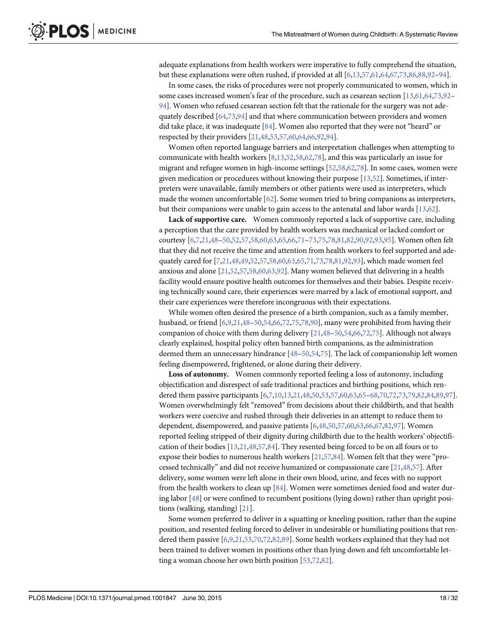adequate explanations from health workers were imperative to fully comprehend the situation, but these explanations were often rushed, if provided at all  $[6,13,57,61,64,67,73,86,88,92-94]$  $[6,13,57,61,64,67,73,86,88,92-94]$  $[6,13,57,61,64,67,73,86,88,92-94]$  $[6,13,57,61,64,67,73,86,88,92-94]$  $[6,13,57,61,64,67,73,86,88,92-94]$  $[6,13,57,61,64,67,73,86,88,92-94]$  $[6,13,57,61,64,67,73,86,88,92-94]$  $[6,13,57,61,64,67,73,86,88,92-94]$ .

In some cases, the risks of procedures were not properly communicated to women, which in some cases increased women's fear of the procedure, such as cesarean section  $13,61,64,73,92 13,61,64,73,92 13,61,64,73,92 13,61,64,73,92 13,61,64,73,92 13,61,64,73,92-$ [94\]](#page-28-0). Women who refused cesarean section felt that the rationale for the surgery was not adequately described  $[64,73,94]$  $[64,73,94]$  $[64,73,94]$  $[64,73,94]$  and that where communication between providers and women did take place, it was inadequate  $[84]$  $[84]$  $[84]$ . Women also reported that they were not "heard" or respected by their providers [[21](#page-24-0),[48,53,57,60](#page-26-0),[64,66](#page-26-0)[,92,94\]](#page-28-0).

Women often reported language barriers and interpretation challenges when attempting to communicate with health workers  $[8,13,52,58,62,78]$  $[8,13,52,58,62,78]$  $[8,13,52,58,62,78]$  $[8,13,52,58,62,78]$ , and this was particularly an issue for migrant and refugee women in high-income settings [\[52,58](#page-26-0),[62](#page-26-0)[,78](#page-27-0)]. In some cases, women were given medication or procedures without knowing their purpose  $[13,52]$  $[13,52]$ . Sometimes, if interpreters were unavailable, family members or other patients were used as interpreters, which made the women uncomfortable [[62](#page-26-0)]. Some women tried to bring companions as interpreters, but their companions were unable to gain access to the antenatal and labor wards  $[13,62]$  $[13,62]$ .

Lack of supportive care. Women commonly reported a lack of supportive care, including a perception that the care provided by health workers was mechanical or lacked comfort or courtesy [\[6,7,21,](#page-24-0)[48](#page-26-0)–[50,52,57,58,60,63,65,66,](#page-26-0)[71](#page-27-0)–[73,75,78,81](#page-27-0),[82](#page-27-0)[,90,92,93,95](#page-28-0)]. Women often felt that they did not receive the time and attention from health workers to feel supported and ade-quately cared for [\[7,21,](#page-24-0)[48,49](#page-26-0),[52,57,58,60](#page-26-0),[63,65](#page-26-0)[,71,73,78](#page-27-0),[81](#page-27-0)[,92,93\]](#page-28-0), which made women feel anxious and alone [[21](#page-24-0)[,52,57,58](#page-26-0),[60,63](#page-26-0)[,92\]](#page-28-0). Many women believed that delivering in a health facility would ensure positive health outcomes for themselves and their babies. Despite receiving technically sound care, their experiences were marred by a lack of emotional support, and their care experiences were therefore incongruous with their expectations.

While women often desired the presence of a birth companion, such as a family member, husband, or friend [\[6,9,21,](#page-24-0)[48](#page-26-0)–[50,54,66,](#page-26-0)[72](#page-27-0),[75,78](#page-27-0)[,90\]](#page-28-0), many were prohibited from having their companion of choice with them during delivery [\[21,](#page-24-0)[48](#page-26-0)–[50,54,66,](#page-26-0)[72,75](#page-27-0)]. Although not always clearly explained, hospital policy often banned birth companions, as the administration deemed them an unnecessary hindrance  $[48–50,54,75]$  $[48–50,54,75]$  $[48–50,54,75]$  $[48–50,54,75]$  $[48–50,54,75]$ . The lack of companionship left women feeling disempowered, frightened, or alone during their delivery.

Loss of autonomy. Women commonly reported feeling a loss of autonomy, including objectification and disrespect of safe traditional practices and birthing positions, which ren-dered them passive participants [[6,7,10](#page-24-0),[13,21](#page-24-0)[,48,50,53](#page-26-0),[57,60,63,65](#page-26-0)-[68,70,72,73,79](#page-27-0),[82,84,89,](#page-27-0)[97](#page-28-0)]. Women overwhelmingly felt "removed" from decisions about their childbirth, and that health workers were coercive and rushed through their deliveries in an attempt to reduce them to dependent, disempowered, and passive patients [[6](#page-24-0),[48,50,57,60](#page-26-0),[63,66,67,](#page-26-0)[82,](#page-27-0)[97](#page-28-0)]. Women reported feeling stripped of their dignity during childbirth due to the health workers' objectification of their bodies [\[13,21,](#page-24-0)[48](#page-26-0),[57](#page-26-0)[,84\]](#page-27-0). They resented being forced to be on all fours or to expose their bodies to numerous health workers  $[21,57,84]$  $[21,57,84]$  $[21,57,84]$  $[21,57,84]$ . Women felt that they were "processed technically" and did not receive humanized or compassionate care [[21](#page-24-0),[48,57\]](#page-26-0). After delivery, some women were left alone in their own blood, urine, and feces with no support from the health workers to clean up  $[84]$  $[84]$  $[84]$ . Women were sometimes denied food and water during labor  $[48]$  $[48]$  or were confined to recumbent positions (lying down) rather than upright positions (walking, standing) [\[21\]](#page-24-0).

Some women preferred to deliver in a squatting or kneeling position, rather than the supine position, and resented feeling forced to deliver in undesirable or humiliating positions that rendered them passive [\[6,9,21,](#page-24-0)[53,](#page-26-0)[70](#page-27-0),[72,82,89\]](#page-27-0). Some health workers explained that they had not been trained to deliver women in positions other than lying down and felt uncomfortable letting a woman choose her own birth position [[53](#page-26-0)[,72,82\]](#page-27-0).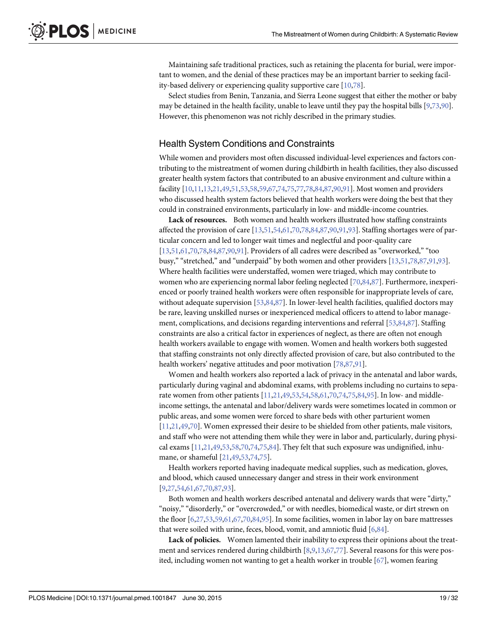Maintaining safe traditional practices, such as retaining the placenta for burial, were important to women, and the denial of these practices may be an important barrier to seeking facility-based delivery or experiencing quality supportive care  $[10,78]$  $[10,78]$ .

Select studies from Benin, Tanzania, and Sierra Leone suggest that either the mother or baby may be detained in the health facility, unable to leave until they pay the hospital bills [\[9,](#page-24-0)[73,](#page-27-0)[90](#page-28-0)]. However, this phenomenon was not richly described in the primary studies.

# Health System Conditions and Constraints

While women and providers most often discussed individual-level experiences and factors contributing to the mistreatment of women during childbirth in health facilities, they also discussed greater health system factors that contributed to an abusive environment and culture within a facility [\[10,11](#page-24-0),[13,21,](#page-24-0)[49](#page-26-0),[51,53,58,59,67,](#page-26-0)[74,75,77,78,84](#page-27-0),[87](#page-27-0)[,90,91](#page-28-0)]. Most women and providers who discussed health system factors believed that health workers were doing the best that they could in constrained environments, particularly in low- and middle-income countries.

Lack of resources. Both women and health workers illustrated how staffing constraints affected the provision of care [[13,](#page-24-0)[51](#page-26-0),[54,61,](#page-26-0)[70,78](#page-27-0),[84,87](#page-27-0)[,90,91,93](#page-28-0)]. Staffing shortages were of particular concern and led to longer wait times and neglectful and poor-quality care [\[13](#page-24-0)[,51,61,](#page-26-0)[70](#page-27-0),[78,84,87,](#page-27-0)[90](#page-28-0),[91](#page-28-0)]. Providers of all cadres were described as "overworked," "too busy," "stretched," and "underpaid" by both women and other providers [[13,](#page-24-0)[51](#page-26-0),[78,87,](#page-27-0)[91,93](#page-28-0)]. Where health facilities were understaffed, women were triaged, which may contribute to women who are experiencing normal labor feeling neglected [[70,84,87\]](#page-27-0). Furthermore, inexperienced or poorly trained health workers were often responsible for inappropriate levels of care, without adequate supervision  $[53,84,87]$  $[53,84,87]$ . In lower-level health facilities, qualified doctors may be rare, leaving unskilled nurses or inexperienced medical officers to attend to labor management, complications, and decisions regarding interventions and referral [[53](#page-26-0)[,84,87\]](#page-27-0). Staffing constraints are also a critical factor in experiences of neglect, as there are often not enough health workers available to engage with women. Women and health workers both suggested that staffing constraints not only directly affected provision of care, but also contributed to the health workers' negative attitudes and poor motivation [\[78,87,](#page-27-0)[91\]](#page-28-0).

Women and health workers also reported a lack of privacy in the antenatal and labor wards, particularly during vaginal and abdominal exams, with problems including no curtains to sepa-rate women from other patients [[11,21](#page-24-0)[,49,53](#page-26-0),[54,58,61,](#page-26-0)[70,74](#page-27-0),[75,84](#page-27-0)[,95\]](#page-28-0). In low- and middleincome settings, the antenatal and labor/delivery wards were sometimes located in common or public areas, and some women were forced to share beds with other parturient women [\[11,21,](#page-24-0)[49,](#page-26-0)[70](#page-27-0)]. Women expressed their desire to be shielded from other patients, male visitors, and staff who were not attending them while they were in labor and, particularly, during physical exams  $[11, 21, 49, 53, 58, 70, 74, 75, 84]$  $[11, 21, 49, 53, 58, 70, 74, 75, 84]$  $[11, 21, 49, 53, 58, 70, 74, 75, 84]$ . They felt that such exposure was undignified, inhu-mane, or shameful [\[21,](#page-24-0)[49,53](#page-26-0),[74,75](#page-27-0)].

Health workers reported having inadequate medical supplies, such as medication, gloves, and blood, which caused unnecessary danger and stress in their work environment [\[9](#page-24-0)[,27](#page-25-0)[,54,61,67](#page-26-0),[70,87](#page-27-0)[,93\]](#page-28-0).

Both women and health workers described antenatal and delivery wards that were "dirty," "noisy," "disorderly," or "overcrowded," or with needles, biomedical waste, or dirt strewn on the floor [\[6](#page-24-0)[,27](#page-25-0)[,53,59,61](#page-26-0),[67](#page-26-0)[,70,84,](#page-27-0)[95](#page-28-0)]. In some facilities, women in labor lay on bare mattresses that were soiled with urine, feces, blood, vomit, and amniotic fluid [[6,](#page-24-0)[84](#page-27-0)].

Lack of policies. Women lamented their inability to express their opinions about the treat-ment and services rendered during childbirth [[8,9,13](#page-24-0),[67](#page-26-0)[,77\]](#page-27-0). Several reasons for this were posited, including women not wanting to get a health worker in trouble  $[67]$  $[67]$  $[67]$ , women fearing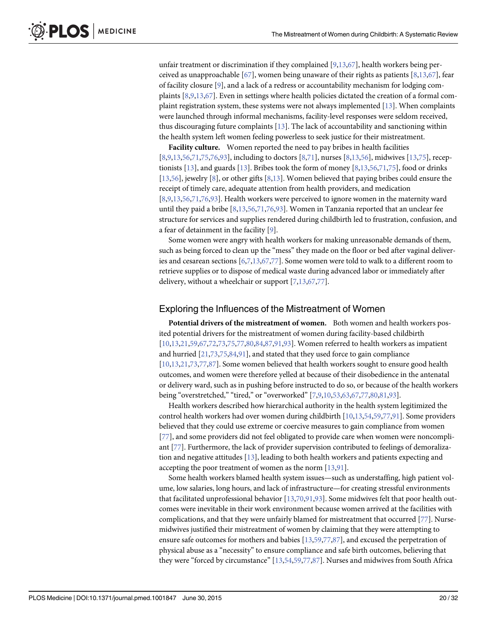unfair treatment or discrimination if they complained [[9](#page-24-0),[13](#page-24-0)[,67\]](#page-26-0), health workers being perceived as unapproachable  $[67]$ , women being unaware of their rights as patients  $[8,13,67]$  $[8,13,67]$  $[8,13,67]$  $[8,13,67]$  $[8,13,67]$ , fear of facility closure [\[9\]](#page-24-0), and a lack of a redress or accountability mechanism for lodging complaints [\[8,9,13](#page-24-0)[,67\]](#page-26-0). Even in settings where health policies dictated the creation of a formal complaint registration system, these systems were not always implemented [\[13\]](#page-24-0). When complaints were launched through informal mechanisms, facility-level responses were seldom received, thus discouraging future complaints [[13](#page-24-0)]. The lack of accountability and sanctioning within the health system left women feeling powerless to seek justice for their mistreatment.

Facility culture. Women reported the need to pay bribes in health facilities [\[8,9,13](#page-24-0)[,56,](#page-26-0)[71,75](#page-27-0),[76](#page-27-0)[,93\]](#page-28-0), including to doctors [\[8](#page-24-0)[,71\]](#page-27-0), nurses [\[8,13,](#page-24-0)[56](#page-26-0)], midwives [[13](#page-24-0)[,75](#page-27-0)], receptionists [[13](#page-24-0)], and guards [[13](#page-24-0)]. Bribes took the form of money [[8,13,](#page-24-0)[56](#page-26-0),[71,75\]](#page-27-0), food or drinks  $[13,56]$  $[13,56]$ , jewelry  $[8]$  $[8]$  $[8]$ , or other gifts  $[8,13]$  $[8,13]$ . Women believed that paying bribes could ensure the receipt of timely care, adequate attention from health providers, and medication [\[8,9,13](#page-24-0)[,56,](#page-26-0)[71,76](#page-27-0),[93](#page-28-0)]. Health workers were perceived to ignore women in the maternity ward until they paid a bribe  $[8,13,56,71,76,93]$  $[8,13,56,71,76,93]$  $[8,13,56,71,76,93]$  $[8,13,56,71,76,93]$  $[8,13,56,71,76,93]$  $[8,13,56,71,76,93]$  $[8,13,56,71,76,93]$  $[8,13,56,71,76,93]$  $[8,13,56,71,76,93]$ . Women in Tanzania reported that an unclear fee structure for services and supplies rendered during childbirth led to frustration, confusion, and a fear of detainment in the facility [\[9\]](#page-24-0).

Some women were angry with health workers for making unreasonable demands of them, such as being forced to clean up the "mess" they made on the floor or bed after vaginal deliveries and cesarean sections  $[6,7,13,67,77]$  $[6,7,13,67,77]$  $[6,7,13,67,77]$  $[6,7,13,67,77]$ . Some women were told to walk to a different room to retrieve supplies or to dispose of medical waste during advanced labor or immediately after delivery, without a wheelchair or support  $[7,13,67,77]$  $[7,13,67,77]$  $[7,13,67,77]$  $[7,13,67,77]$ .

#### Exploring the Influences of the Mistreatment of Women

Potential drivers of the mistreatment of women. Both women and health workers posited potential drivers for the mistreatment of women during facility-based childbirth [\[10,13,21,](#page-24-0)[59](#page-26-0),[67](#page-26-0)[,72,73,75](#page-27-0),[77,80,84,87,](#page-27-0)[91](#page-28-0),[93](#page-28-0)]. Women referred to health workers as impatient and hurried  $[21,73,75,84,91]$  $[21,73,75,84,91]$  $[21,73,75,84,91]$  $[21,73,75,84,91]$  $[21,73,75,84,91]$ , and stated that they used force to gain compliance [\[10,13,21,](#page-24-0)[73](#page-27-0),[77,87\]](#page-27-0). Some women believed that health workers sought to ensure good health outcomes, and women were therefore yelled at because of their disobedience in the antenatal or delivery ward, such as in pushing before instructed to do so, or because of the health workers being "overstretched," "tired," or "overworked" [[7](#page-24-0),[9](#page-24-0),[10](#page-24-0)[,53,63,67,](#page-26-0)[77](#page-27-0),[80,81,](#page-27-0)[93\]](#page-28-0).

Health workers described how hierarchical authority in the health system legitimized the control health workers had over women during childbirth [\[10,13,](#page-24-0)[54](#page-26-0),[59](#page-26-0)[,77](#page-27-0)[,91\]](#page-28-0). Some providers believed that they could use extreme or coercive measures to gain compliance from women [\[77](#page-27-0)], and some providers did not feel obligated to provide care when women were noncompliant [\[77](#page-27-0)]. Furthermore, the lack of provider supervision contributed to feelings of demoralization and negative attitudes [[13](#page-24-0)], leading to both health workers and patients expecting and accepting the poor treatment of women as the norm  $[13,91]$  $[13,91]$  $[13,91]$ .

Some health workers blamed health system issues—such as understaffing, high patient volume, low salaries, long hours, and lack of infrastructure—for creating stressful environments that facilitated unprofessional behavior [[13](#page-24-0)[,70,](#page-27-0)[91,93](#page-28-0)]. Some midwives felt that poor health outcomes were inevitable in their work environment because women arrived at the facilities with complications, and that they were unfairly blamed for mistreatment that occurred [[77\]](#page-27-0). Nursemidwives justified their mistreatment of women by claiming that they were attempting to ensure safe outcomes for mothers and babies [[13,](#page-24-0)[59](#page-26-0),[77,87\]](#page-27-0), and excused the perpetration of physical abuse as a "necessity" to ensure compliance and safe birth outcomes, believing that they were "forced by circumstance" [[13](#page-24-0),[54,59,](#page-26-0)[77,87](#page-27-0)]. Nurses and midwives from South Africa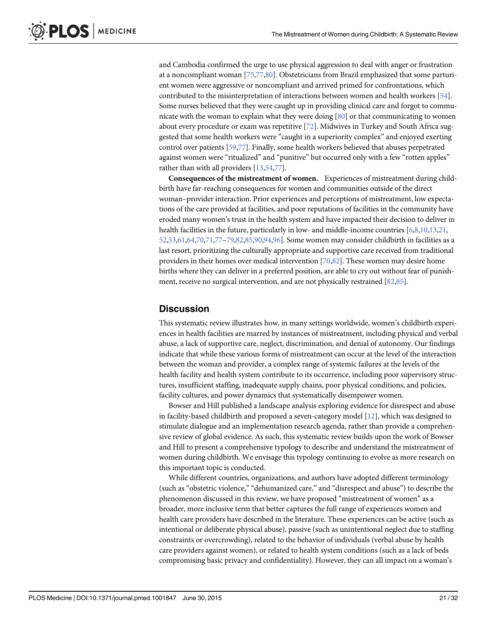and Cambodia confirmed the urge to use physical aggression to deal with anger or frustration at a noncompliant woman [\[75,77](#page-27-0),[80](#page-27-0)]. Obstetricians from Brazil emphasized that some parturient women were aggressive or noncompliant and arrived primed for confrontations, which contributed to the misinterpretation of interactions between women and health workers  $[54]$ . Some nurses believed that they were caught up in providing clinical care and forgot to communicate with the woman to explain what they were doing  $[80]$  or that communicating to women about every procedure or exam was repetitive [\[72\]](#page-27-0). Midwives in Turkey and South Africa suggested that some health workers were "caught in a superiority complex" and enjoyed exerting control over patients [[59](#page-26-0),[77](#page-27-0)]. Finally, some health workers believed that abuses perpetrated against women were "ritualized" and "punitive" but occurred only with a few "rotten apples" rather than with all providers [[13](#page-24-0)[,54](#page-26-0)[,77\]](#page-27-0).

Consequences of the mistreatment of women. Experiences of mistreatment during childbirth have far-reaching consequences for women and communities outside of the direct woman–provider interaction. Prior experiences and perceptions of mistreatment, low expectations of the care provided at facilities, and poor reputations of facilities in the community have eroded many women's trust in the health system and have impacted their decision to deliver in health facilities in the future, particularly in low- and middle-income countries  $[6,8,10,13,21,$  $[6,8,10,13,21,$  $[6,8,10,13,21,$  $[6,8,10,13,21,$ [52,53,61,64,](#page-26-0)[70,71,77](#page-27-0)–[79,82,85,](#page-27-0)[90](#page-28-0),[94,96\]](#page-28-0). Some women may consider childbirth in facilities as a last resort, prioritizing the culturally appropriate and supportive care received from traditional providers in their homes over medical intervention  $[70,82]$  $[70,82]$  $[70,82]$ . These women may desire home births where they can deliver in a preferred position, are able to cry out without fear of punishment, receive no surgical intervention, and are not physically restrained [[82,85\]](#page-27-0).

# **Discussion**

This systematic review illustrates how, in many settings worldwide, women's childbirth experiences in health facilities are marred by instances of mistreatment, including physical and verbal abuse, a lack of supportive care, neglect, discrimination, and denial of autonomy. Our findings indicate that while these various forms of mistreatment can occur at the level of the interaction between the woman and provider, a complex range of systemic failures at the levels of the health facility and health system contribute to its occurrence, including poor supervisory structures, insufficient staffing, inadequate supply chains, poor physical conditions, and policies, facility cultures, and power dynamics that systematically disempower women.

Bowser and Hill published a landscape analysis exploring evidence for disrespect and abuse in facility-based childbirth and proposed a seven-category model [[12\]](#page-24-0), which was designed to stimulate dialogue and an implementation research agenda, rather than provide a comprehensive review of global evidence. As such, this systematic review builds upon the work of Bowser and Hill to present a comprehensive typology to describe and understand the mistreatment of women during childbirth. We envisage this typology continuing to evolve as more research on this important topic is conducted.

While different countries, organizations, and authors have adopted different terminology (such as "obstetric violence," "dehumanized care," and "disrespect and abuse") to describe the phenomenon discussed in this review, we have proposed "mistreatment of women" as a broader, more inclusive term that better captures the full range of experiences women and health care providers have described in the literature. These experiences can be active (such as intentional or deliberate physical abuse), passive (such as unintentional neglect due to staffing constraints or overcrowding), related to the behavior of individuals (verbal abuse by health care providers against women), or related to health system conditions (such as a lack of beds compromising basic privacy and confidentiality). However, they can all impact on a woman's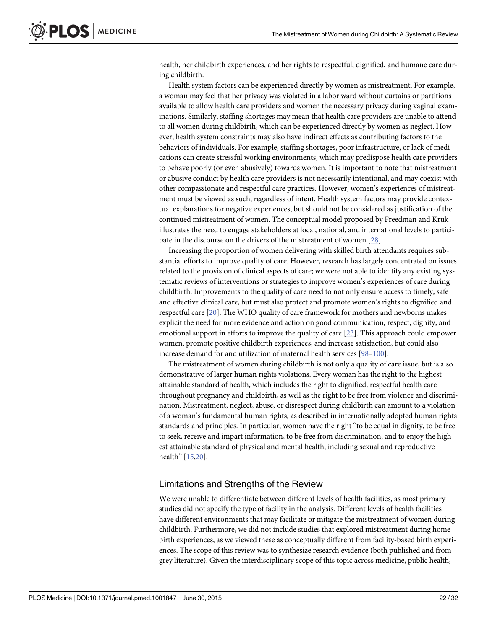<span id="page-21-0"></span>health, her childbirth experiences, and her rights to respectful, dignified, and humane care during childbirth.

Health system factors can be experienced directly by women as mistreatment. For example, a woman may feel that her privacy was violated in a labor ward without curtains or partitions available to allow health care providers and women the necessary privacy during vaginal examinations. Similarly, staffing shortages may mean that health care providers are unable to attend to all women during childbirth, which can be experienced directly by women as neglect. However, health system constraints may also have indirect effects as contributing factors to the behaviors of individuals. For example, staffing shortages, poor infrastructure, or lack of medications can create stressful working environments, which may predispose health care providers to behave poorly (or even abusively) towards women. It is important to note that mistreatment or abusive conduct by health care providers is not necessarily intentional, and may coexist with other compassionate and respectful care practices. However, women's experiences of mistreatment must be viewed as such, regardless of intent. Health system factors may provide contextual explanations for negative experiences, but should not be considered as justification of the continued mistreatment of women. The conceptual model proposed by Freedman and Kruk illustrates the need to engage stakeholders at local, national, and international levels to participate in the discourse on the drivers of the mistreatment of women [\[28\]](#page-25-0).

Increasing the proportion of women delivering with skilled birth attendants requires substantial efforts to improve quality of care. However, research has largely concentrated on issues related to the provision of clinical aspects of care; we were not able to identify any existing systematic reviews of interventions or strategies to improve women's experiences of care during childbirth. Improvements to the quality of care need to not only ensure access to timely, safe and effective clinical care, but must also protect and promote women's rights to dignified and respectful care [[20](#page-24-0)]. The WHO quality of care framework for mothers and newborns makes explicit the need for more evidence and action on good communication, respect, dignity, and emotional support in efforts to improve the quality of care [[23](#page-25-0)]. This approach could empower women, promote positive childbirth experiences, and increase satisfaction, but could also increase demand for and utilization of maternal health services [\[98](#page-28-0)–[100](#page-28-0)].

The mistreatment of women during childbirth is not only a quality of care issue, but is also demonstrative of larger human rights violations. Every woman has the right to the highest attainable standard of health, which includes the right to dignified, respectful health care throughout pregnancy and childbirth, as well as the right to be free from violence and discrimination. Mistreatment, neglect, abuse, or disrespect during childbirth can amount to a violation of a woman's fundamental human rights, as described in internationally adopted human rights standards and principles. In particular, women have the right "to be equal in dignity, to be free to seek, receive and impart information, to be free from discrimination, and to enjoy the highest attainable standard of physical and mental health, including sexual and reproductive health" [\[15,20\]](#page-24-0).

# Limitations and Strengths of the Review

We were unable to differentiate between different levels of health facilities, as most primary studies did not specify the type of facility in the analysis. Different levels of health facilities have different environments that may facilitate or mitigate the mistreatment of women during childbirth. Furthermore, we did not include studies that explored mistreatment during home birth experiences, as we viewed these as conceptually different from facility-based birth experiences. The scope of this review was to synthesize research evidence (both published and from grey literature). Given the interdisciplinary scope of this topic across medicine, public health,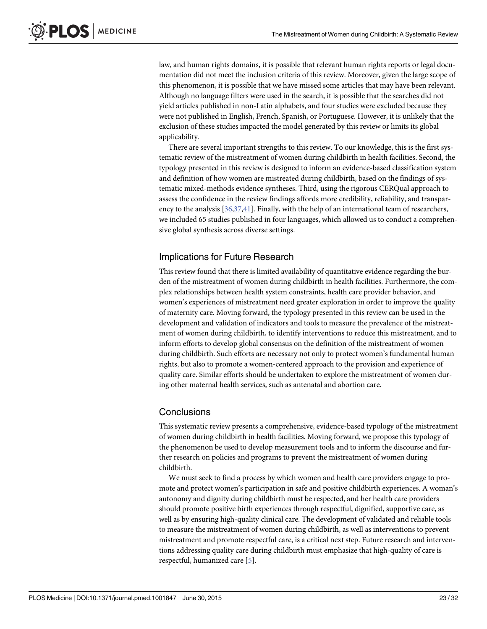<span id="page-22-0"></span>law, and human rights domains, it is possible that relevant human rights reports or legal documentation did not meet the inclusion criteria of this review. Moreover, given the large scope of this phenomenon, it is possible that we have missed some articles that may have been relevant. Although no language filters were used in the search, it is possible that the searches did not yield articles published in non-Latin alphabets, and four studies were excluded because they were not published in English, French, Spanish, or Portuguese. However, it is unlikely that the exclusion of these studies impacted the model generated by this review or limits its global applicability.

There are several important strengths to this review. To our knowledge, this is the first systematic review of the mistreatment of women during childbirth in health facilities. Second, the typology presented in this review is designed to inform an evidence-based classification system and definition of how women are mistreated during childbirth, based on the findings of systematic mixed-methods evidence syntheses. Third, using the rigorous CERQual approach to assess the confidence in the review findings affords more credibility, reliability, and transparency to the analysis [\[36,37,41](#page-25-0)]. Finally, with the help of an international team of researchers, we included 65 studies published in four languages, which allowed us to conduct a comprehensive global synthesis across diverse settings.

# Implications for Future Research

This review found that there is limited availability of quantitative evidence regarding the burden of the mistreatment of women during childbirth in health facilities. Furthermore, the complex relationships between health system constraints, health care provider behavior, and women's experiences of mistreatment need greater exploration in order to improve the quality of maternity care. Moving forward, the typology presented in this review can be used in the development and validation of indicators and tools to measure the prevalence of the mistreatment of women during childbirth, to identify interventions to reduce this mistreatment, and to inform efforts to develop global consensus on the definition of the mistreatment of women during childbirth. Such efforts are necessary not only to protect women's fundamental human rights, but also to promote a women-centered approach to the provision and experience of quality care. Similar efforts should be undertaken to explore the mistreatment of women during other maternal health services, such as antenatal and abortion care.

# **Conclusions**

This systematic review presents a comprehensive, evidence-based typology of the mistreatment of women during childbirth in health facilities. Moving forward, we propose this typology of the phenomenon be used to develop measurement tools and to inform the discourse and further research on policies and programs to prevent the mistreatment of women during childbirth.

We must seek to find a process by which women and health care providers engage to promote and protect women's participation in safe and positive childbirth experiences. A woman's autonomy and dignity during childbirth must be respected, and her health care providers should promote positive birth experiences through respectful, dignified, supportive care, as well as by ensuring high-quality clinical care. The development of validated and reliable tools to measure the mistreatment of women during childbirth, as well as interventions to prevent mistreatment and promote respectful care, is a critical next step. Future research and interventions addressing quality care during childbirth must emphasize that high-quality of care is respectful, humanized care [[5\]](#page-24-0).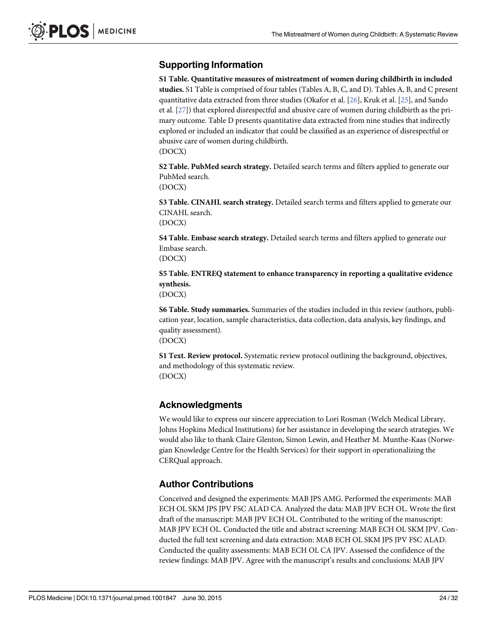# <span id="page-23-0"></span>Supporting Information

[S1 Table](http://www.plosone.org/article/fetchSingleRepresentation.action?uri=info:doi/10.1371/journal.pmed.1001847.s001). Quantitative measures of mistreatment of women during childbirth in included studies. S1 Table is comprised of four tables (Tables A, B, C, and D). Tables A, B, and C present quantitative data extracted from three studies (Okafor et al. [[26](#page-25-0)], Kruk et al. [[25\]](#page-25-0), and Sando et al. [\[27\]](#page-25-0)) that explored disrespectful and abusive care of women during childbirth as the primary outcome. Table D presents quantitative data extracted from nine studies that indirectly explored or included an indicator that could be classified as an experience of disrespectful or abusive care of women during childbirth. (DOCX)

[S2 Table](http://www.plosone.org/article/fetchSingleRepresentation.action?uri=info:doi/10.1371/journal.pmed.1001847.s002). PubMed search strategy. Detailed search terms and filters applied to generate our PubMed search.

(DOCX)

[S3 Table](http://www.plosone.org/article/fetchSingleRepresentation.action?uri=info:doi/10.1371/journal.pmed.1001847.s003). CINAHL search strategy. Detailed search terms and filters applied to generate our CINAHL search. (DOCX)

[S4 Table](http://www.plosone.org/article/fetchSingleRepresentation.action?uri=info:doi/10.1371/journal.pmed.1001847.s004). Embase search strategy. Detailed search terms and filters applied to generate our Embase search.

(DOCX)

[S5 Table](http://www.plosone.org/article/fetchSingleRepresentation.action?uri=info:doi/10.1371/journal.pmed.1001847.s005). ENTREQ statement to enhance transparency in reporting a qualitative evidence synthesis.

(DOCX)

[S6 Table](http://www.plosone.org/article/fetchSingleRepresentation.action?uri=info:doi/10.1371/journal.pmed.1001847.s006). Study summaries. Summaries of the studies included in this review (authors, publication year, location, sample characteristics, data collection, data analysis, key findings, and quality assessment). (DOCX)

[S1 Text.](http://www.plosone.org/article/fetchSingleRepresentation.action?uri=info:doi/10.1371/journal.pmed.1001847.s007) Review protocol. Systematic review protocol outlining the background, objectives, and methodology of this systematic review. (DOCX)

# Acknowledgments

We would like to express our sincere appreciation to Lori Rosman (Welch Medical Library, Johns Hopkins Medical Institutions) for her assistance in developing the search strategies. We would also like to thank Claire Glenton, Simon Lewin, and Heather M. Munthe-Kaas (Norwegian Knowledge Centre for the Health Services) for their support in operationalizing the CERQual approach.

# Author Contributions

Conceived and designed the experiments: MAB JPS AMG. Performed the experiments: MAB ECH OL SKM JPS JPV FSC ALAD CA. Analyzed the data: MAB JPV ECH OL. Wrote the first draft of the manuscript: MAB JPV ECH OL. Contributed to the writing of the manuscript: MAB JPV ECH OL. Conducted the title and abstract screening: MAB ECH OL SKM JPV. Conducted the full text screening and data extraction: MAB ECH OL SKM JPS JPV FSC ALAD. Conducted the quality assessments: MAB ECH OL CA JPV. Assessed the confidence of the review findings: MAB JPV. Agree with the manuscript's results and conclusions: MAB JPV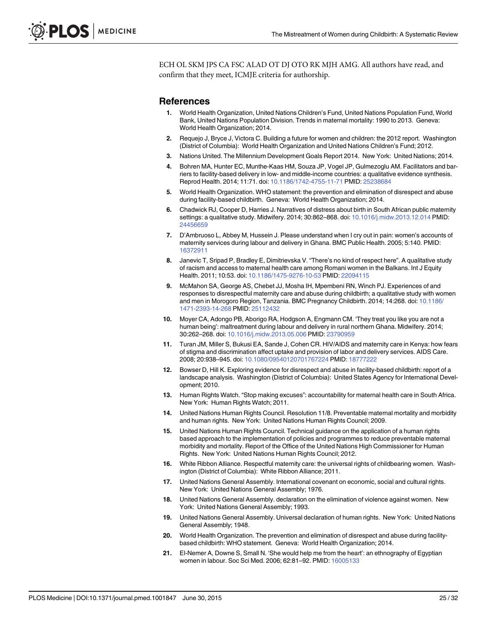<span id="page-24-0"></span>ECH OL SKM JPS CA FSC ALAD OT DJ OTO RK MJH AMG. All authors have read, and confirm that they meet, ICMJE criteria for authorship.

### **References**

- [1.](#page-1-0) World Health Organization, United Nations Children's Fund, United Nations Population Fund, World Bank, United Nations Population Division. Trends in maternal mortality: 1990 to 2013. Geneva: World Health Organization; 2014.
- [2.](#page-1-0) Requejo J, Bryce J, Victora C. Building a future for women and children: the 2012 report. Washington (District of Columbia): World Health Organization and United Nations Children's Fund; 2012.
- [3.](#page-1-0) Nations United. The Millennium Development Goals Report 2014. New York: United Nations; 2014.
- [4.](#page-1-0) Bohren MA, Hunter EC, Munthe-Kaas HM, Souza JP, Vogel JP, Gulmezoglu AM. Facilitators and barriers to facility-based delivery in low- and middle-income countries: a qualitative evidence synthesis. Reprod Health. 2014; 11:71. doi: [10.1186/1742-4755-11-71](http://dx.doi.org/10.1186/1742-4755-11-71) PMID: [25238684](http://www.ncbi.nlm.nih.gov/pubmed/25238684)
- [5.](#page-1-0) World Health Organization. WHO statement: the prevention and elimination of disrespect and abuse during facility-based childbirth. Geneva: World Health Organization; 2014.
- [6.](#page-1-0) Chadwick RJ, Cooper D, Harries J. Narratives of distress about birth in South African public maternity settings: a qualitative study. Midwifery. 2014; 30:862–868. doi: [10.1016/j.midw.2013.12.014](http://dx.doi.org/10.1016/j.midw.2013.12.014) PMID: [24456659](http://www.ncbi.nlm.nih.gov/pubmed/24456659)
- [7.](#page-8-0) D'Ambruoso L, Abbey M, Hussein J. Please understand when I cry out in pain: women's accounts of maternity services during labour and delivery in Ghana. BMC Public Health. 2005; 5:140. PMID: [16372911](http://www.ncbi.nlm.nih.gov/pubmed/16372911)
- [8.](#page-9-0) Janevic T, Sripad P, Bradley E, Dimitrievska V. "There's no kind of respect here". A qualitative study of racism and access to maternal health care among Romani women in the Balkans. Int J Equity Health. 2011; 10:53. doi: [10.1186/1475-9276-10-53](http://dx.doi.org/10.1186/1475-9276-10-53) PMID: [22094115](http://www.ncbi.nlm.nih.gov/pubmed/22094115)
- [9.](#page-8-0) McMahon SA, George AS, Chebet JJ, Mosha IH, Mpembeni RN, Winch PJ. Experiences of and responses to disrespectful maternity care and abuse during childbirth; a qualitative study with women and men in Morogoro Region, Tanzania. BMC Pregnancy Childbirth. 2014; 14:268. doi: [10.1186/](http://dx.doi.org/10.1186/1471-2393-14-268) [1471-2393-14-268](http://dx.doi.org/10.1186/1471-2393-14-268) PMID: [25112432](http://www.ncbi.nlm.nih.gov/pubmed/25112432)
- [10.](#page-1-0) Moyer CA, Adongo PB, Aborigo RA, Hodgson A, Engmann CM. 'They treat you like you are not a human being': maltreatment during labour and delivery in rural northern Ghana. Midwifery. 2014; 30:262–268. doi: [10.1016/j.midw.2013.05.006](http://dx.doi.org/10.1016/j.midw.2013.05.006) PMID: [23790959](http://www.ncbi.nlm.nih.gov/pubmed/23790959)
- [11.](#page-1-0) Turan JM, Miller S, Bukusi EA, Sande J, Cohen CR. HIV/AIDS and maternity care in Kenya: how fears of stigma and discrimination affect uptake and provision of labor and delivery services. AIDS Care. 2008; 20:938–945. doi: [10.1080/09540120701767224](http://dx.doi.org/10.1080/09540120701767224) PMID: [18777222](http://www.ncbi.nlm.nih.gov/pubmed/18777222)
- [12.](#page-1-0) Bowser D, Hill K. Exploring evidence for disrespect and abuse in facility-based childbirth: report of a landscape analysis. Washington (District of Columbia): United States Agency for International Development; 2010.
- [13.](#page-1-0) Human Rights Watch. "Stop making excuses": accountability for maternal health care in South Africa. New York: Human Rights Watch; 2011.
- [14.](#page-1-0) United Nations Human Rights Council. Resolution 11/8. Preventable maternal mortality and morbidity and human rights. New York: United Nations Human Rights Council; 2009.
- [15.](#page-21-0) United Nations Human Rights Council. Technical guidance on the application of a human rights based approach to the implementation of policies and programmes to reduce preventable maternal morbidity and mortality. Report of the Office of the United Nations High Commissioner for Human Rights. New York: United Nations Human Rights Council; 2012.
- [16.](#page-1-0) White Ribbon Alliance. Respectful maternity care: the universal rights of childbearing women. Washington (District of Columbia): White Ribbon Alliance; 2011.
- [17.](#page-1-0) United Nations General Assembly. International covenant on economic, social and cultural rights. New York: United Nations General Assembly; 1976.
- 18. United Nations General Assembly. declaration on the elimination of violence against women. New York: United Nations General Assembly; 1993.
- 19. United Nations General Assembly. Universal declaration of human rights. New York: United Nations General Assembly; 1948.
- [20.](#page-1-0) World Health Organization. The prevention and elimination of disrespect and abuse during facilitybased childbirth: WHO statement. Geneva: World Health Organization; 2014.
- [21.](#page-1-0) El-Nemer A, Downe S, Small N. 'She would help me from the heart': an ethnography of Egyptian women in labour. Soc Sci Med. 2006; 62:81–92. PMID: [16005133](http://www.ncbi.nlm.nih.gov/pubmed/16005133)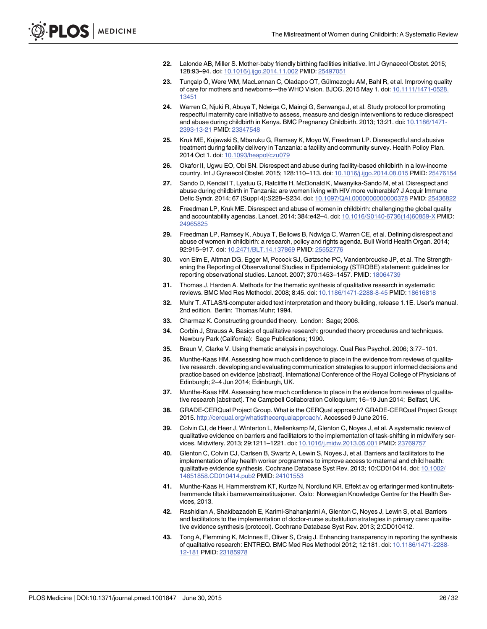- <span id="page-25-0"></span>[22.](#page-1-0) Lalonde AB, Miller S. Mother-baby friendly birthing facilities initiative. Int J Gynaecol Obstet. 2015; 128:93–94. doi: [10.1016/j.ijgo.2014.11.002](http://dx.doi.org/10.1016/j.ijgo.2014.11.002) PMID: [25497051](http://www.ncbi.nlm.nih.gov/pubmed/25497051)
- [23.](#page-1-0) Tunçalp Ö, Were WM, MacLennan C, Oladapo OT, Gülmezoglu AM, Bahl R, et al. Improving quality of care for mothers and newborns—the WHO Vision. BJOG. 2015 May 1. doi: [10.1111/1471-0528.](http://dx.doi.org/10.1111/1471-0528.13451) [13451](http://dx.doi.org/10.1111/1471-0528.13451)
- [24.](#page-1-0) Warren C, Njuki R, Abuya T, Ndwiga C, Maingi G, Serwanga J, et al. Study protocol for promoting respectful maternity care initiative to assess, measure and design interventions to reduce disrespect and abuse during childbirth in Kenya. BMC Pregnancy Childbirth. 2013; 13:21. doi: [10.1186/1471-](http://dx.doi.org/10.1186/1471-2393-13-21) [2393-13-21](http://dx.doi.org/10.1186/1471-2393-13-21) PMID: [23347548](http://www.ncbi.nlm.nih.gov/pubmed/23347548)
- [25.](#page-2-0) Kruk ME, Kujawski S, Mbaruku G, Ramsey K, Moyo W, Freedman LP. Disrespectful and abusive treatment during facility delivery in Tanzania: a facility and community survey. Health Policy Plan. 2014 Oct 1. doi: [10.1093/heapol/czu079](http://dx.doi.org/10.1093/heapol/czu079)
- [26.](#page-7-0) Okafor II, Ugwu EO, Obi SN. Disrespect and abuse during facility-based childbirth in a low-income country. Int J Gynaecol Obstet. 2015; 128:110–113. doi: [10.1016/j.ijgo.2014.08.015](http://dx.doi.org/10.1016/j.ijgo.2014.08.015) PMID: [25476154](http://www.ncbi.nlm.nih.gov/pubmed/25476154)
- [27.](#page-1-0) Sando D, Kendall T, Lyatuu G, Ratcliffe H, McDonald K, Mwanyika-Sando M, et al. Disrespect and abuse during childbirth in Tanzania: are women living with HIV more vulnerable? J Acquir Immune Defic Syndr. 2014; 67 (Suppl 4):S228–S234. doi: [10.1097/QAI.0000000000000378](http://dx.doi.org/10.1097/QAI.0000000000000378) PMID: [25436822](http://www.ncbi.nlm.nih.gov/pubmed/25436822)
- [28.](#page-2-0) Freedman LP, Kruk ME. Disrespect and abuse of women in childbirth: challenging the global quality and accountability agendas. Lancet. 2014; 384:e42–4. doi: [10.1016/S0140-6736\(14\)60859-X](http://dx.doi.org/10.1016/S0140-6736(14)60859-X) PMID: [24965825](http://www.ncbi.nlm.nih.gov/pubmed/24965825)
- [29.](#page-2-0) Freedman LP, Ramsey K, Abuya T, Bellows B, Ndwiga C, Warren CE, et al. Defining disrespect and abuse of women in childbirth: a research, policy and rights agenda. Bull World Health Organ. 2014; 92:915–917. doi: [10.2471/BLT.14.137869](http://dx.doi.org/10.2471/BLT.14.137869) PMID: [25552776](http://www.ncbi.nlm.nih.gov/pubmed/25552776)
- [30.](#page-3-0) von Elm E, Altman DG, Egger M, Pocock SJ, Gøtzsche PC, Vandenbroucke JP, et al. The Strengthening the Reporting of Observational Studies in Epidemiology (STROBE) statement: guidelines for reporting observational studies. Lancet. 2007; 370:1453–1457. PMID: [18064739](http://www.ncbi.nlm.nih.gov/pubmed/18064739)
- [31.](#page-3-0) Thomas J, Harden A. Methods for the thematic synthesis of qualitative research in systematic reviews. BMC Med Res Methodol. 2008; 8:45. doi: [10.1186/1471-2288-8-45](http://dx.doi.org/10.1186/1471-2288-8-45) PMID: [18616818](http://www.ncbi.nlm.nih.gov/pubmed/18616818)
- [32.](#page-3-0) Muhr T. ATLAS/ti-computer aided text interpretation and theory building, release 1.1E. User's manual. 2nd edition. Berlin: Thomas Muhr; 1994.
- [33.](#page-3-0) Charmaz K. Constructing grounded theory. London: Sage; 2006.
- [34.](#page-3-0) Corbin J, Strauss A. Basics of qualitative research: grounded theory procedures and techniques. Newbury Park (California): Sage Publications; 1990.
- [35.](#page-3-0) Braun V, Clarke V. Using thematic analysis in psychology. Qual Res Psychol. 2006; 3:77–101.
- [36.](#page-3-0) Munthe-Kaas HM. Assessing how much confidence to place in the evidence from reviews of qualitative research. developing and evaluating communication strategies to support informed decisions and practice based on evidence [abstract]. International Conference of the Royal College of Physicians of Edinburgh; 2–4 Jun 2014; Edinburgh, UK.
- [37.](#page-3-0) Munthe-Kaas HM. Assessing how much confidence to place in the evidence from reviews of qualitative research [abstract]. The Campbell Collaboration Colloquium; 16–19 Jun 2014; Belfast, UK.
- [38.](#page-4-0) GRADE-CERQual Project Group. What is the CERQual approach? GRADE-CERQual Project Group; 2015. <http://cerqual.org/whatisthecerqualapproach/>. Accessed 9 June 2015.
- 39. Colvin CJ, de Heer J, Winterton L, Mellenkamp M, Glenton C, Noyes J, et al. A systematic review of qualitative evidence on barriers and facilitators to the implementation of task-shifting in midwifery services. Midwifery. 2013; 29:1211–1221. doi: [10.1016/j.midw.2013.05.001](http://dx.doi.org/10.1016/j.midw.2013.05.001) PMID: [23769757](http://www.ncbi.nlm.nih.gov/pubmed/23769757)
- 40. Glenton C, Colvin CJ, Carlsen B, Swartz A, Lewin S, Noyes J, et al. Barriers and facilitators to the implementation of lay health worker programmes to improve access to maternal and child health: qualitative evidence synthesis. Cochrane Database Syst Rev. 2013; 10:CD010414. doi: [10.1002/](http://dx.doi.org/10.1002/14651858.CD010414.pub2) [14651858.CD010414.pub2](http://dx.doi.org/10.1002/14651858.CD010414.pub2) PMID: [24101553](http://www.ncbi.nlm.nih.gov/pubmed/24101553)
- [41.](#page-22-0) Munthe-Kaas H, Hammerstrøm KT, Kurtze N, Nordlund KR. Effekt av og erfaringer med kontinuitetsfremmende tiltak i barnevernsinstitusjoner. Oslo: Norwegian Knowledge Centre for the Health Services, 2013.
- [42.](#page-4-0) Rashidian A, Shakibazadeh E, Karimi-Shahanjarini A, Glenton C, Noyes J, Lewin S, et al. Barriers and facilitators to the implementation of doctor-nurse substitution strategies in primary care: qualitative evidence synthesis (protocol). Cochrane Database Syst Rev. 2013; 2:CD010412.
- [43.](#page-4-0) Tong A, Flemming K, McInnes E, Oliver S, Craig J. Enhancing transparency in reporting the synthesis of qualitative research: ENTREQ. BMC Med Res Methodol 2012; 12:181. doi: [10.1186/1471-2288-](http://dx.doi.org/10.1186/1471-2288-12-181) [12-181](http://dx.doi.org/10.1186/1471-2288-12-181) PMID: [23185978](http://www.ncbi.nlm.nih.gov/pubmed/23185978)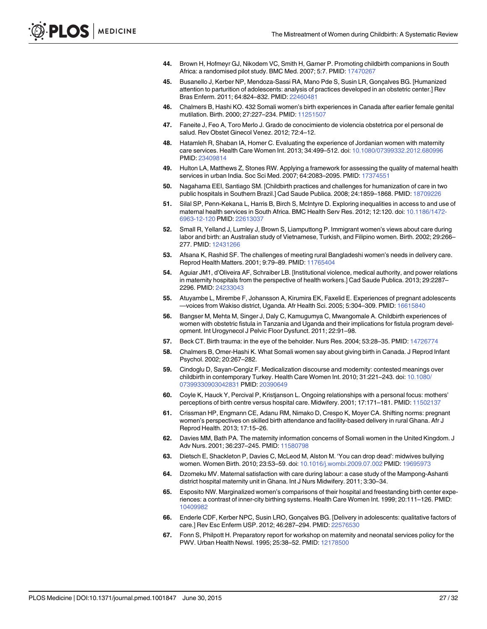- <span id="page-26-0"></span>[44.](#page-4-0) Brown H, Hofmeyr GJ, Nikodem VC, Smith H, Garner P. Promoting childbirth companions in South Africa: a randomised pilot study. BMC Med. 2007; 5:7. PMID: [17470267](http://www.ncbi.nlm.nih.gov/pubmed/17470267)
- 45. Busanello J, Kerber NP, Mendoza-Sassi RA, Mano Pde S, Susin LR, Gonçalves BG. [Humanized attention to parturition of adolescents: analysis of practices developed in an obstetric center.] Rev Bras Enferm. 2011; 64:824–832. PMID: [22460481](http://www.ncbi.nlm.nih.gov/pubmed/22460481)
- 46. Chalmers B, Hashi KO. 432 Somali women's birth experiences in Canada after earlier female genital mutilation. Birth. 2000; 27:227–234. PMID: [11251507](http://www.ncbi.nlm.nih.gov/pubmed/11251507)
- 47. Faneite J, Feo A, Toro Merlo J. Grado de conocimiento de violencia obstetrica por el personal de salud. Rev Obstet Ginecol Venez. 2012; 72:4–12.
- [48.](#page-8-0) Hatamleh R, Shaban IA, Homer C. Evaluating the experience of Jordanian women with maternity care services. Health Care Women Int. 2013; 34:499–512. doi: [10.1080/07399332.2012.680996](http://dx.doi.org/10.1080/07399332.2012.680996) PMID: [23409814](http://www.ncbi.nlm.nih.gov/pubmed/23409814)
- [49.](#page-9-0) Hulton LA, Matthews Z, Stones RW. Applying a framework for assessing the quality of maternal health services in urban India. Soc Sci Med. 2007; 64:2083–2095. PMID: [17374551](http://www.ncbi.nlm.nih.gov/pubmed/17374551)
- [50.](#page-8-0) Nagahama EEI, Santiago SM. [Childbirth practices and challenges for humanization of care in two public hospitals in Southern Brazil.] Cad Saude Publica. 2008; 24:1859–1868. PMID: [18709226](http://www.ncbi.nlm.nih.gov/pubmed/18709226)
- [51.](#page-8-0) Silal SP, Penn-Kekana L, Harris B, Birch S, McIntyre D. Exploring inequalities in access to and use of maternal health services in South Africa. BMC Health Serv Res. 2012; 12:120. doi: [10.1186/1472-](http://dx.doi.org/10.1186/1472-6963-12-120) [6963-12-120](http://dx.doi.org/10.1186/1472-6963-12-120) PMID: [22613037](http://www.ncbi.nlm.nih.gov/pubmed/22613037)
- [52.](#page-4-0) Small R, Yelland J, Lumley J, Brown S, Liamputtong P. Immigrant women's views about care during labor and birth: an Australian study of Vietnamese, Turkish, and Filipino women. Birth. 2002; 29:266– 277. PMID: [12431266](http://www.ncbi.nlm.nih.gov/pubmed/12431266)
- [53.](#page-8-0) Afsana K, Rashid SF. The challenges of meeting rural Bangladeshi women's needs in delivery care. Reprod Health Matters. 2001; 9:79–89. PMID: [11765404](http://www.ncbi.nlm.nih.gov/pubmed/11765404)
- [54.](#page-10-0) Aguiar JM1, d'Oliveira AF, Schraiber LB. [Institutional violence, medical authority, and power relations in maternity hospitals from the perspective of health workers.] Cad Saude Publica. 2013; 29:2287– 2296. PMID: [24233043](http://www.ncbi.nlm.nih.gov/pubmed/24233043)
- [55.](#page-8-0) Atuyambe L, Mirembe F, Johansson A, Kirumira EK, Faxelid E. Experiences of pregnant adolescents —voices from Wakiso district, Uganda. Afr Health Sci. 2005; 5:304–309. PMID: [16615840](http://www.ncbi.nlm.nih.gov/pubmed/16615840)
- [56.](#page-13-0) Bangser M, Mehta M, Singer J, Daly C, Kamugumya C, Mwangomale A. Childbirth experiences of women with obstetric fistula in Tanzania and Uganda and their implications for fistula program development. Int Urogynecol J Pelvic Floor Dysfunct. 2011; 22:91–98.
- [57.](#page-11-0) Beck CT. Birth trauma: in the eye of the beholder. Nurs Res. 2004; 53:28–35. PMID: [14726774](http://www.ncbi.nlm.nih.gov/pubmed/14726774)
- [58.](#page-8-0) Chalmers B, Omer-Hashi K. What Somali women say about giving birth in Canada. J Reprod Infant Psychol. 2002; 20:267–282.
- [59.](#page-8-0) Cindoglu D, Sayan-Cengiz F. Medicalization discourse and modernity: contested meanings over childbirth in contemporary Turkey. Health Care Women Int. 2010; 31:221–243. doi: [10.1080/](http://dx.doi.org/10.1080/07399330903042831) [07399330903042831](http://dx.doi.org/10.1080/07399330903042831) PMID: [20390649](http://www.ncbi.nlm.nih.gov/pubmed/20390649)
- [60.](#page-11-0) Coyle K, Hauck Y, Percival P, Kristjanson L. Ongoing relationships with a personal focus: mothers' perceptions of birth centre versus hospital care. Midwifery. 2001; 17:171–181. PMID: [11502137](http://www.ncbi.nlm.nih.gov/pubmed/11502137)
- [61.](#page-8-0) Crissman HP, Engmann CE, Adanu RM, Nimako D, Crespo K, Moyer CA. Shifting norms: pregnant women's perspectives on skilled birth attendance and facility-based delivery in rural Ghana. Afr J Reprod Health. 2013; 17:15–26.
- [62.](#page-9-0) Davies MM, Bath PA. The maternity information concerns of Somali women in the United Kingdom. J Adv Nurs. 2001; 36:237-245. PMID: [11580798](http://www.ncbi.nlm.nih.gov/pubmed/11580798)
- [63.](#page-8-0) Dietsch E, Shackleton P, Davies C, McLeod M, Alston M. 'You can drop dead': midwives bullying women. Women Birth. 2010; 23:53–59. doi: [10.1016/j.wombi.2009.07.002](http://dx.doi.org/10.1016/j.wombi.2009.07.002) PMID: [19695973](http://www.ncbi.nlm.nih.gov/pubmed/19695973)
- [64.](#page-8-0) Dzomeku MV. Maternal satisfaction with care during labour: a case study of the Mampong-Ashanti district hospital maternity unit in Ghana. Int J Nurs Midwifery. 2011; 3:30–34.
- [65.](#page-11-0) Esposito NW. Marginalized women's comparisons of their hospital and freestanding birth center experiences: a contrast of inner-city birthing systems. Health Care Women Int. 1999; 20:111–126. PMID: [10409982](http://www.ncbi.nlm.nih.gov/pubmed/10409982)
- [66.](#page-10-0) Enderle CDF, Kerber NPC, Susin LRO, Gonçalves BG. [Delivery in adolescents: qualitative factors of care.] Rev Esc Enferm USP. 2012; 46:287–294. PMID: [22576530](http://www.ncbi.nlm.nih.gov/pubmed/22576530)
- [67.](#page-8-0) Fonn S, Philpott H. Preparatory report for workshop on maternity and neonatal services policy for the PWV. Urban Health Newsl. 1995; 25:38–52. PMID: [12178500](http://www.ncbi.nlm.nih.gov/pubmed/12178500)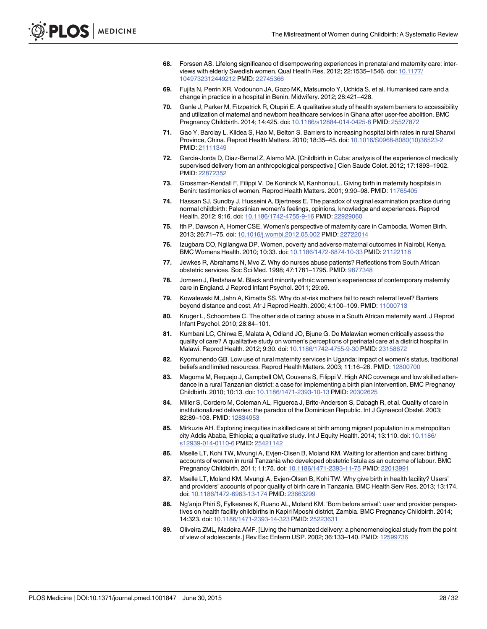- <span id="page-27-0"></span>[68.](#page-8-0) Forssen AS. Lifelong significance of disempowering experiences in prenatal and maternity care: interviews with elderly Swedish women. Qual Health Res. 2012; 22:1535–1546. doi: [10.1177/](http://dx.doi.org/10.1177/1049732312449212) [1049732312449212](http://dx.doi.org/10.1177/1049732312449212) PMID: [22745366](http://www.ncbi.nlm.nih.gov/pubmed/22745366)
- 69. Fujita N, Perrin XR, Vodounon JA, Gozo MK, Matsumoto Y, Uchida S, et al. Humanised care and a change in practice in a hospital in Benin. Midwifery. 2012; 28:421–428.
- [70.](#page-8-0) Ganle J, Parker M, Fitzpatrick R, Otupiri E. A qualitative study of health system barriers to accessibility and utilization of maternal and newborn healthcare services in Ghana after user-fee abolition. BMC Pregnancy Childbirth. 2014; 14:425. doi: [10.1186/s12884-014-0425-8](http://dx.doi.org/10.1186/s12884-014-0425-8) PMID: [25527872](http://www.ncbi.nlm.nih.gov/pubmed/25527872)
- [71.](#page-10-0) Gao Y, Barclay L, Kildea S, Hao M, Belton S. Barriers to increasing hospital birth rates in rural Shanxi Province, China. Reprod Health Matters. 2010; 18:35–45. doi: [10.1016/S0968-8080\(10\)36523-2](http://dx.doi.org/10.1016/S0968-8080(10)36523-2) PMID: [21111349](http://www.ncbi.nlm.nih.gov/pubmed/21111349)
- [72.](#page-9-0) Garcia-Jorda D, Diaz-Bernal Z, Alamo MA. [Childbirth in Cuba: analysis of the experience of medically supervised delivery from an anthropological perspective.] Cien Saude Colet. 2012; 17:1893–1902. PMID: [22872352](http://www.ncbi.nlm.nih.gov/pubmed/22872352)
- [73.](#page-8-0) Grossman-Kendall F, Filippi V, De Koninck M, Kanhonou L. Giving birth in maternity hospitals in Benin: testimonies of women. Reprod Health Matters. 2001; 9:90–98. PMID: [11765405](http://www.ncbi.nlm.nih.gov/pubmed/11765405)
- [74.](#page-10-0) Hassan SJ, Sundby J, Husseini A, Bjertness E. The paradox of vaginal examination practice during normal childbirth: Palestinian women's feelings, opinions, knowledge and experiences. Reprod Health. 2012; 9:16. doi: [10.1186/1742-4755-9-16](http://dx.doi.org/10.1186/1742-4755-9-16) PMID: [22929060](http://www.ncbi.nlm.nih.gov/pubmed/22929060)
- [75.](#page-8-0) Ith P, Dawson A, Homer CSE. Women's perspective of maternity care in Cambodia. Women Birth. 2013; 26:71–75. doi: [10.1016/j.wombi.2012.05.002](http://dx.doi.org/10.1016/j.wombi.2012.05.002) PMID: [22722014](http://www.ncbi.nlm.nih.gov/pubmed/22722014)
- [76.](#page-9-0) Izugbara CO, Ngilangwa DP. Women, poverty and adverse maternal outcomes in Nairobi, Kenya. BMC Womens Health. 2010; 10:33. doi: [10.1186/1472-6874-10-33](http://dx.doi.org/10.1186/1472-6874-10-33) PMID: [21122118](http://www.ncbi.nlm.nih.gov/pubmed/21122118)
- [77.](#page-8-0) Jewkes R, Abrahams N, Mvo Z. Why do nurses abuse patients? Reflections from South African obstetric services. Soc Sci Med. 1998; 47:1781–1795. PMID: [9877348](http://www.ncbi.nlm.nih.gov/pubmed/9877348)
- [78.](#page-9-0) Jomeen J, Redshaw M. Black and minority ethnic women's experiences of contemporary maternity care in England. J Reprod Infant Psychol. 2011; 29:e9.
- [79.](#page-9-0) Kowalewski M, Jahn A, Kimatta SS. Why do at-risk mothers fail to reach referral level? Barriers beyond distance and cost. Afr J Reprod Health. 2000; 4:100-109. PMID: [11000713](http://www.ncbi.nlm.nih.gov/pubmed/11000713)
- [80.](#page-8-0) Kruger L, Schoombee C. The other side of caring: abuse in a South African maternity ward. J Reprod Infant Psychol. 2010; 28:84–101.
- [81.](#page-8-0) Kumbani LC, Chirwa E, Malata A, Odland JO, Biune G, Do Malawian women critically assess the quality of care? A qualitative study on women's perceptions of perinatal care at a district hospital in Malawi. Reprod Health. 2012; 9:30. doi: [10.1186/1742-4755-9-30](http://dx.doi.org/10.1186/1742-4755-9-30) PMID: [23158672](http://www.ncbi.nlm.nih.gov/pubmed/23158672)
- [82.](#page-11-0) Kyomuhendo GB. Low use of rural maternity services in Uganda: impact of women's status, traditional beliefs and limited resources. Reprod Health Matters. 2003; 11:16–26. PMID: [12800700](http://www.ncbi.nlm.nih.gov/pubmed/12800700)
- [83.](#page-8-0) Magoma M, Requejo J, Campbell OM, Cousens S, Filippi V. High ANC coverage and low skilled attendance in a rural Tanzanian district: a case for implementing a birth plan intervention. BMC Pregnancy Childbirth. 2010; 10:13. doi: [10.1186/1471-2393-10-13](http://dx.doi.org/10.1186/1471-2393-10-13) PMID: [20302625](http://www.ncbi.nlm.nih.gov/pubmed/20302625)
- [84.](#page-8-0) Miller S, Cordero M, Coleman AL, Figueroa J, Brito-Anderson S, Dabagh R, et al. Quality of care in institutionalized deliveries: the paradox of the Dominican Republic. Int J Gynaecol Obstet. 2003; 82:89–103. PMID: [12834953](http://www.ncbi.nlm.nih.gov/pubmed/12834953)
- [85.](#page-8-0) Mirkuzie AH. Exploring inequities in skilled care at birth among migrant population in a metropolitan city Addis Ababa, Ethiopia; a qualitative study. Int J Equity Health. 2014; 13:110. doi: [10.1186/](http://dx.doi.org/10.1186/s12939-014-0110-6) [s12939-014-0110-6](http://dx.doi.org/10.1186/s12939-014-0110-6) PMID: [25421142](http://www.ncbi.nlm.nih.gov/pubmed/25421142)
- [86.](#page-8-0) Mselle LT, Kohi TW, Mvungi A, Evjen-Olsen B, Moland KM. Waiting for attention and care: birthing accounts of women in rural Tanzania who developed obstetric fistula as an outcome of labour. BMC Pregnancy Childbirth. 2011; 11:75. doi: [10.1186/1471-2393-11-75](http://dx.doi.org/10.1186/1471-2393-11-75) PMID: [22013991](http://www.ncbi.nlm.nih.gov/pubmed/22013991)
- [87.](#page-8-0) Mselle LT, Moland KM, Mvungi A, Evjen-Olsen B, Kohi TW. Why give birth in health facility? Users' and providers' accounts of poor quality of birth care in Tanzania. BMC Health Serv Res. 2013; 13:174. doi: [10.1186/1472-6963-13-174](http://dx.doi.org/10.1186/1472-6963-13-174) PMID: [23663299](http://www.ncbi.nlm.nih.gov/pubmed/23663299)
- [88.](#page-8-0) Ng'anjo Phiri S, Fylkesnes K, Ruano AL, Moland KM. 'Born before arrival': user and provider perspectives on health facility childbirths in Kapiri Mposhi district, Zambia. BMC Pregnancy Childbirth. 2014; 14:323. doi: [10.1186/1471-2393-14-323](http://dx.doi.org/10.1186/1471-2393-14-323) PMID: [25223631](http://www.ncbi.nlm.nih.gov/pubmed/25223631)
- [89.](#page-10-0) Oliveira ZML, Madeira AMF. [Living the humanized delivery: a phenomenological study from the point of view of adolescents.] Rev Esc Enferm USP. 2002; 36:133–140. PMID: [12599736](http://www.ncbi.nlm.nih.gov/pubmed/12599736)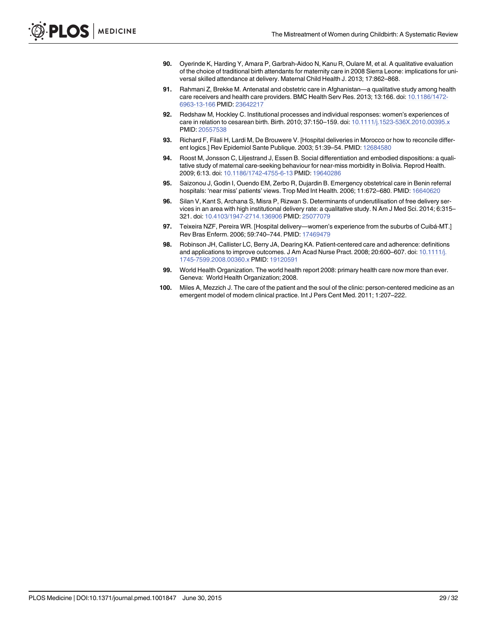- <span id="page-28-0"></span>[90.](#page-8-0) Oyerinde K, Harding Y, Amara P, Garbrah-Aidoo N, Kanu R, Oulare M, et al. A qualitative evaluation of the choice of traditional birth attendants for maternity care in 2008 Sierra Leone: implications for universal skilled attendance at delivery. Maternal Child Health J. 2013; 17:862–868.
- [91.](#page-8-0) Rahmani Z, Brekke M. Antenatal and obstetric care in Afghanistan—a qualitative study among health care receivers and health care providers. BMC Health Serv Res. 2013; 13:166. doi: [10.1186/1472-](http://dx.doi.org/10.1186/1472-6963-13-166) [6963-13-166](http://dx.doi.org/10.1186/1472-6963-13-166) PMID: [23642217](http://www.ncbi.nlm.nih.gov/pubmed/23642217)
- [92.](#page-10-0) Redshaw M, Hockley C. Institutional processes and individual responses: women's experiences of care in relation to cesarean birth. Birth. 2010; 37:150–159. doi: [10.1111/j.1523-536X.2010.00395.x](http://dx.doi.org/10.1111/j.1523-536X.2010.00395.x) PMID: [20557538](http://www.ncbi.nlm.nih.gov/pubmed/20557538)
- [93.](#page-8-0) Richard F, Filali H, Lardi M, De Brouwere V. [Hospital deliveries in Morocco or how to reconcile differ-ent logics.] Rev Epidemiol Sante Publique. 2003; 51:39-54. PMID: [12684580](http://www.ncbi.nlm.nih.gov/pubmed/12684580)
- [94.](#page-11-0) Roost M, Jonsson C, Liljestrand J, Essen B. Social differentiation and embodied dispositions: a qualitative study of maternal care-seeking behaviour for near-miss morbidity in Bolivia. Reprod Health. 2009; 6:13. doi: [10.1186/1742-4755-6-13](http://dx.doi.org/10.1186/1742-4755-6-13) PMID: [19640286](http://www.ncbi.nlm.nih.gov/pubmed/19640286)
- [95.](#page-9-0) Saizonou J, Godin I, Ouendo EM, Zerbo R, Dujardin B. Emergency obstetrical care in Benin referral hospitals: 'near miss' patients' views. Trop Med Int Health. 2006; 11:672–680. PMID: [16640620](http://www.ncbi.nlm.nih.gov/pubmed/16640620)
- [96.](#page-9-0) Silan V, Kant S, Archana S, Misra P, Rizwan S. Determinants of underutilisation of free delivery services in an area with high institutional delivery rate: a qualitative study. N Am J Med Sci. 2014; 6:315– 321. doi: [10.4103/1947-2714.136906](http://dx.doi.org/10.4103/1947-2714.136906) PMID: [25077079](http://www.ncbi.nlm.nih.gov/pubmed/25077079)
- [97.](#page-8-0) Teixeira NZF, Pereira WR. [Hospital delivery—women's experience from the suburbs of Cuibá-MT.] Rev Bras Enferm. 2006; 59:740–744. PMID: [17469479](http://www.ncbi.nlm.nih.gov/pubmed/17469479)
- [98.](#page-21-0) Robinson JH, Callister LC, Berry JA, Dearing KA. Patient-centered care and adherence: definitions and applications to improve outcomes. J Am Acad Nurse Pract. 2008; 20:600-607. doi: [10.1111/j.](http://dx.doi.org/10.1111/j.1745-7599.2008.00360.x) [1745-7599.2008.00360.x](http://dx.doi.org/10.1111/j.1745-7599.2008.00360.x) PMID: [19120591](http://www.ncbi.nlm.nih.gov/pubmed/19120591)
- 99. World Health Organization. The world health report 2008: primary health care now more than ever. Geneva: World Health Organization; 2008.
- [100.](#page-21-0) Miles A, Mezzich J. The care of the patient and the soul of the clinic: person-centered medicine as an emergent model of modern clinical practice. Int J Pers Cent Med. 2011; 1:207–222.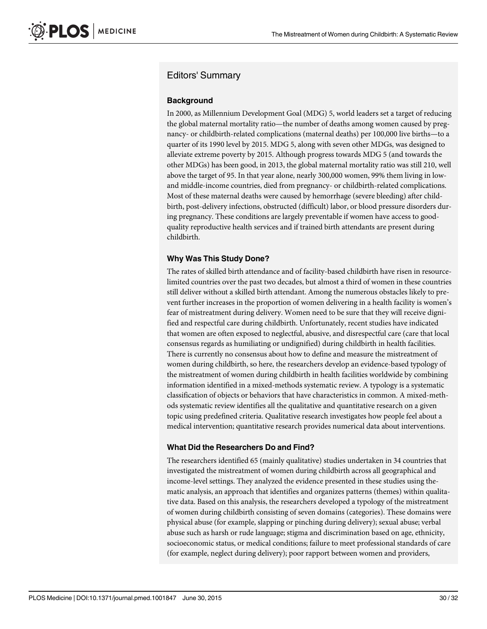# Editors' Summary

#### **Background**

In 2000, as Millennium Development Goal (MDG) 5, world leaders set a target of reducing the global maternal mortality ratio—the number of deaths among women caused by pregnancy- or childbirth-related complications (maternal deaths) per 100,000 live births—to a quarter of its 1990 level by 2015. MDG 5, along with seven other MDGs, was designed to alleviate extreme poverty by 2015. Although progress towards MDG 5 (and towards the other MDGs) has been good, in 2013, the global maternal mortality ratio was still 210, well above the target of 95. In that year alone, nearly 300,000 women, 99% them living in lowand middle-income countries, died from pregnancy- or childbirth-related complications. Most of these maternal deaths were caused by hemorrhage (severe bleeding) after childbirth, post-delivery infections, obstructed (difficult) labor, or blood pressure disorders during pregnancy. These conditions are largely preventable if women have access to goodquality reproductive health services and if trained birth attendants are present during childbirth.

#### Why Was This Study Done?

The rates of skilled birth attendance and of facility-based childbirth have risen in resourcelimited countries over the past two decades, but almost a third of women in these countries still deliver without a skilled birth attendant. Among the numerous obstacles likely to prevent further increases in the proportion of women delivering in a health facility is women's fear of mistreatment during delivery. Women need to be sure that they will receive dignified and respectful care during childbirth. Unfortunately, recent studies have indicated that women are often exposed to neglectful, abusive, and disrespectful care (care that local consensus regards as humiliating or undignified) during childbirth in health facilities. There is currently no consensus about how to define and measure the mistreatment of women during childbirth, so here, the researchers develop an evidence-based typology of the mistreatment of women during childbirth in health facilities worldwide by combining information identified in a mixed-methods systematic review. A typology is a systematic classification of objects or behaviors that have characteristics in common. A mixed-methods systematic review identifies all the qualitative and quantitative research on a given topic using predefined criteria. Qualitative research investigates how people feel about a medical intervention; quantitative research provides numerical data about interventions.

#### What Did the Researchers Do and Find?

The researchers identified 65 (mainly qualitative) studies undertaken in 34 countries that investigated the mistreatment of women during childbirth across all geographical and income-level settings. They analyzed the evidence presented in these studies using thematic analysis, an approach that identifies and organizes patterns (themes) within qualitative data. Based on this analysis, the researchers developed a typology of the mistreatment of women during childbirth consisting of seven domains (categories). These domains were physical abuse (for example, slapping or pinching during delivery); sexual abuse; verbal abuse such as harsh or rude language; stigma and discrimination based on age, ethnicity, socioeconomic status, or medical conditions; failure to meet professional standards of care (for example, neglect during delivery); poor rapport between women and providers,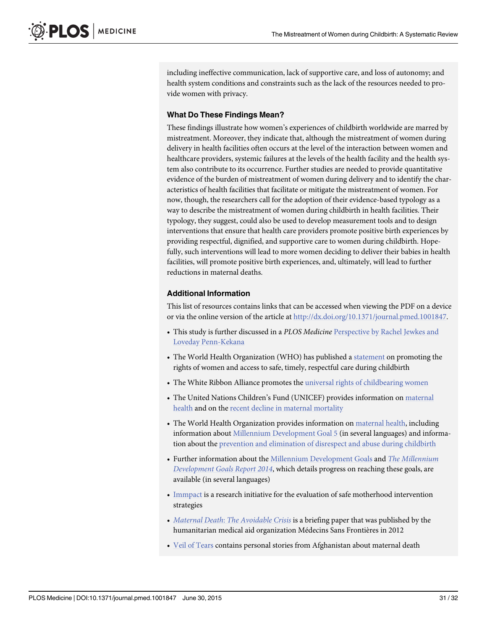including ineffective communication, lack of supportive care, and loss of autonomy; and health system conditions and constraints such as the lack of the resources needed to provide women with privacy.

#### What Do These Findings Mean?

These findings illustrate how women's experiences of childbirth worldwide are marred by mistreatment. Moreover, they indicate that, although the mistreatment of women during delivery in health facilities often occurs at the level of the interaction between women and healthcare providers, systemic failures at the levels of the health facility and the health system also contribute to its occurrence. Further studies are needed to provide quantitative evidence of the burden of mistreatment of women during delivery and to identify the characteristics of health facilities that facilitate or mitigate the mistreatment of women. For now, though, the researchers call for the adoption of their evidence-based typology as a way to describe the mistreatment of women during childbirth in health facilities. Their typology, they suggest, could also be used to develop measurement tools and to design interventions that ensure that health care providers promote positive birth experiences by providing respectful, dignified, and supportive care to women during childbirth. Hopefully, such interventions will lead to more women deciding to deliver their babies in health facilities, will promote positive birth experiences, and, ultimately, will lead to further reductions in maternal deaths.

#### Additional Information

This list of resources contains links that can be accessed when viewing the PDF on a device or via the online version of the article at <http://dx.doi.org/10.1371/journal.pmed.1001847>.

- This study is further discussed in a PLOS Medicine [Perspective by Rachel Jewkes and](http://dx.doi.org/10.1371/journal.pmed.1001849) [Loveday Penn-Kekana](http://dx.doi.org/10.1371/journal.pmed.1001849)
- The World Health Organization (WHO) has published a [statement](http://www.who.int/reproductivehealth/topics/maternal_perinatal/statement-childbirth/en/) on promoting the rights of women and access to safe, timely, respectful care during childbirth
- The White Ribbon Alliance promotes the [universal rights of childbearing women](http://whiteribbonalliance.org/campaigns/respectful-maternity-care/)
- The United Nations Children's Fund (UNICEF) provides information on [maternal](http://www.unicef.org/health/index_maternalhealth.html) [health](http://www.unicef.org/health/index_maternalhealth.html) and on the [recent decline in maternal mortality](http://www.childinfo.org/maternal_mortality.html)
- The World Health Organization provides information on [maternal health,](http://www.who.int/features/factfiles/maternal_health/en/index.html) including information about [Millennium Development Goal 5](http://www.who.int/topics/millennium_development_goals/maternal_health/en/index.html) (in several languages) and information about the [prevention and elimination of disrespect and abuse during childbirth](http://www.who.int/reproductivehealth/topics/maternal_perinatal/statement-childbirth-data/en/)
- Further information about the [Millennium Development Goals](http://www.un.org/millenniumgoals) and *[The Millennium](http://www.un.org/en/development/desa/publications/mdg-report-2014.html)* [Development Goals Report 2014](http://www.un.org/en/development/desa/publications/mdg-report-2014.html), which details progress on reaching these goals, are available (in several languages)
- [Immpact](http://www.abdn.ac.uk/iahs/research/immpact/index.php) is a research initiative for the evaluation of safe motherhood intervention strategies
- Maternal Death: [The Avoidable Crisis](http://cdn.msf.org.uk/sites/uk/files/Maternal_Death__The_Avoidable_Crisis_201203145518.pdf) is a briefing paper that was published by the humanitarian medical aid organization Médecins Sans Frontières in 2012
- [Veil of Tears](http://www.irinnews.org/pdf/Veil_of_Tears.pdf) contains personal stories from Afghanistan about maternal death